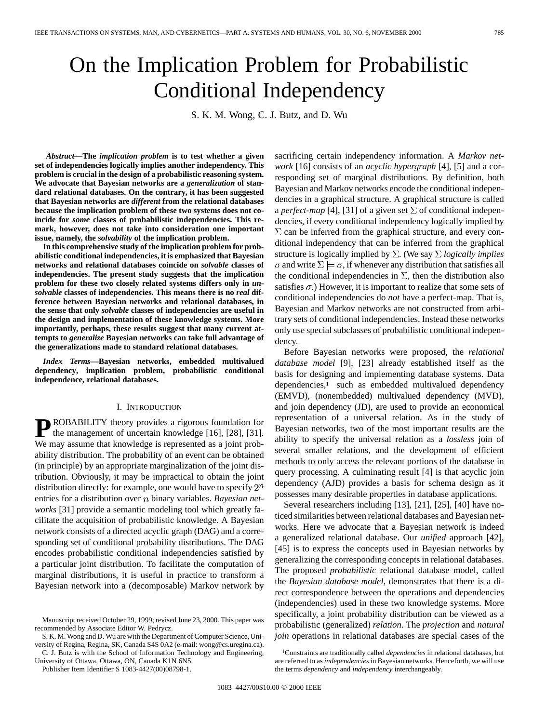# On the Implication Problem for Probabilistic Conditional Independency

S. K. M. Wong, C. J. Butz, and D. Wu

*Abstract—***The** *implication problem* **is to test whether a given set of independencies logically implies another independency. This problem is crucial in the design of a probabilistic reasoning system. We advocate that Bayesian networks are a** *generalization* **of standard relational databases. On the contrary, it has been suggested that Bayesian networks are** *different* **from the relational databases because the implication problem of these two systems does not coincide for** *some* **classes of probabilistic independencies. This remark, however, does not take into consideration one important issue, namely, the** *solvability* **of the implication problem.**

**In this comprehensive study of the implication problem for probabilistic conditional independencies, it is emphasized that Bayesian networks and relational databases coincide on** *solvable* **classes of independencies. The present study suggests that the implication problem for these two closely related systems differs only in** *unsolvable* **classes of independencies. This means there is no** *real* **difference between Bayesian networks and relational databases, in the sense that only** *solvable* **classes of independencies are useful in the design and implementation of these knowledge systems. More importantly, perhaps, these results suggest that many current attempts to** *generalize* **Bayesian networks can take full advantage of the generalizations made to standard relational databases.**

*Index Terms—***Bayesian networks, embedded multivalued dependency, implication problem, probabilistic conditional independence, relational databases.**

#### I. INTRODUCTION

**P**ROBABILITY theory provides a rigorous foundation for the management of uncertain knowledge [16], [28], [31]. We may assume that knowledge is represented as a joint probability distribution. The probability of an event can be obtained (in principle) by an appropriate marginalization of the joint distribution. Obviously, it may be impractical to obtain the joint distribution directly: for example, one would have to specify  $2^n$ entries for a distribution over *n* binary variables. *Bayesian networks* [31] provide a semantic modeling tool which greatly facilitate the acquisition of probabilistic knowledge. A Bayesian network consists of a directed acyclic graph (DAG) and a corresponding set of conditional probability distributions. The DAG encodes probabilistic conditional independencies satisfied by a particular joint distribution. To facilitate the computation of marginal distributions, it is useful in practice to transform a Bayesian network into a (decomposable) Markov network by

S. K. M. Wong and D. Wu are with the Department of Computer Science, University of Regina, Regina, SK, Canada S4S 0A2 (e-mail: wong@cs.uregina.ca).

C. J. Butz is with the School of Information Technology and Engineering, University of Ottawa, Ottawa, ON, Canada K1N 6N5.

Publisher Item Identifier S 1083-4427(00)08798-1.

sacrificing certain independency information. A *Markov network* [16] consists of an *acyclic hypergraph* [4], [5] and a corresponding set of marginal distributions. By definition, both Bayesian and Markov networks encode the conditional independencies in a graphical structure. A graphical structure is called a *perfect-map* [4], [31] of a given set  $\Sigma$  of conditional independencies, if every conditional independency logically implied by  $\Sigma$  can be inferred from the graphical structure, and every conditional independency that can be inferred from the graphical structure is logically implied by  $\Sigma$ . (We say  $\Sigma$  *logically implies*  $\sigma$  and write  $\Sigma \models \sigma$ , if whenever any distribution that satisfies all the conditional independencies in  $\Sigma$ , then the distribution also satisfies  $\sigma$ .) However, it is important to realize that some sets of conditional independencies do *not* have a perfect-map. That is, Bayesian and Markov networks are not constructed from arbitrary sets of conditional independencies. Instead these networks only use special subclasses of probabilistic conditional independency.

Before Bayesian networks were proposed, the *relational database model* [9], [23] already established itself as the basis for designing and implementing database systems. Data dependencies,<sup>1</sup> such as embedded multivalued dependency (EMVD), (nonembedded) multivalued dependency (MVD), and join dependency (JD), are used to provide an economical representation of a universal relation. As in the study of Bayesian networks, two of the most important results are the ability to specify the universal relation as a *lossless* join of several smaller relations, and the development of efficient methods to only access the relevant portions of the database in query processing. A culminating result [4] is that acyclic join dependency (AJD) provides a basis for schema design as it possesses many desirable properties in database applications.

Several researchers including [13], [21], [25], [40] have noticed similarities between relational databases and Bayesian networks. Here we advocate that a Bayesian network is indeed a generalized relational database. Our *unified* approach [42], [45] is to express the concepts used in Bayesian networks by generalizing the corresponding concepts in relational databases. The proposed *probabilistic* relational database model, called the *Bayesian database model*, demonstrates that there is a direct correspondence between the operations and dependencies (independencies) used in these two knowledge systems. More specifically, a joint probability distribution can be viewed as a probabilistic (generalized) *relation*. The *projection* and *natural join* operations in relational databases are special cases of the

Manuscript received October 29, 1999; revised June 23, 2000. This paper was recommended by Associate Editor W. Pedrycz.

<sup>1</sup>Constraints are traditionally called *dependencies* in relational databases, but are referred to as *independencies* in Bayesian networks. Henceforth, we will use the terms *dependency* and *independency* interchangeably.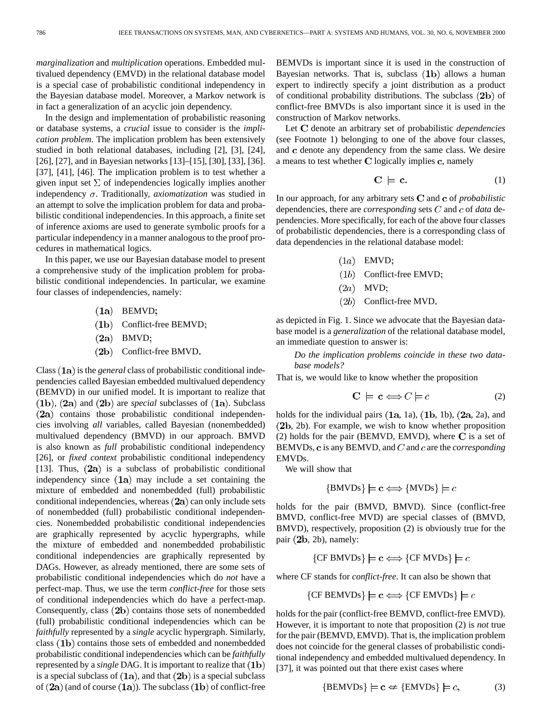*marginalization* and *multiplication* operations. Embedded multivalued dependency (EMVD) in the relational database model is a special case of probabilistic conditional independency in the Bayesian database model. Moreover, a Markov network is in fact a generalization of an acyclic join dependency.

In the design and implementation of probabilistic reasoning or database systems, a *crucial* issue to consider is the *implication problem*. The implication problem has been extensively studied in both relational databases, including [2], [3], [24], [26], [27], and in Bayesian networks [13]–[15], [30], [33], [36]. [37], [41], [46]. The implication problem is to test whether a given input set  $\Sigma$  of independencies logically implies another independency  $\sigma$ . Traditionally, *axiomatization* was studied in an attempt to solve the implication problem for data and probabilistic conditional independencies. In this approach, a finite set of inference axioms are used to generate symbolic proofs for a particular independency in a manner analogous to the proof procedures in mathematical logics.

In this paper, we use our Bayesian database model to present a comprehensive study of the implication problem for probabilistic conditional independencies. In particular, we examine four classes of independencies, namely:

 $(1a)$  BEMVD;

 $(1b)$  Conflict-free BEMVD;

 $(2a)$  BMVD;

 $(2b)$  Conflict-free BMVD.

Class (1a) is the *general* class of probabilistic conditional independencies called Bayesian embedded multivalued dependency (BEMVD) in our unified model. It is important to realize that  $(1b)$ ,  $(2a)$  and  $(2b)$  are *special* subclasses of  $(1a)$ . Subclass  $(2a)$  contains those probabilistic conditional independencies involving *all* variables, called Bayesian (nonembedded) multivalued dependency (BMVD) in our approach. BMVD is also known as *full* probabilistic conditional independency [26], or *fixed context* probabilistic conditional independency [13]. Thus,  $(2a)$  is a subclass of probabilistic conditional independency since  $(1a)$  may include a set containing the mixture of embedded and nonembedded (full) probabilistic conditional independencies, whereas  $(2a)$  can only include sets of nonembedded (full) probabilistic conditional independencies. Nonembedded probabilistic conditional independencies are graphically represented by acyclic hypergraphs, while the mixture of embedded and nonembedded probabilistic conditional independencies are graphically represented by DAGs. However, as already mentioned, there are some sets of probabilistic conditional independencies which do *not* have a perfect-map. Thus, we use the term *conflict-free* for those sets of conditional independencies which do have a perfect-map. Consequently, class  $(2b)$  contains those sets of nonembedded (full) probabilistic conditional independencies which can be *faithfully* represented by a *single* acyclic hypergraph. Similarly, class  $(1b)$  contains those sets of embedded and nonembedded probabilistic conditional independencies which can be *faithfully* represented by a *single* DAG. It is important to realize that is a special subclass of  $(1a)$ , and that  $(2b)$  is a special subclass of  $(2a)$  (and of course  $(1a)$ ). The subclass  $(1b)$  of conflict-free BEMVDs is important since it is used in the construction of Bayesian networks. That is, subclass  $(1b)$  allows a human expert to indirectly specify a joint distribution as a product of conditional probability distributions. The subclass  $(2b)$  of conflict-free BMVDs is also important since it is used in the construction of Markov networks.

Let C denote an arbitrary set of probabilistic *dependencies* (see Footnote 1) belonging to one of the above four classes, and c denote any dependency from the same class. We desire a means to test whether  $C$  logically implies  $c$ , namely

$$
C \models c. \tag{1}
$$

In our approach, for any arbitrary sets  $C$  and  $c$  of *probabilistic* dependencies, there are *corresponding* sets  $C$  and  $c$  of *data* dependencies. More specifically, for each of the above four classes of probabilistic dependencies, there is a corresponding class of data dependencies in the relational database model:

- $(1a)$  EMVD;
- $(1b)$  Conflict-free EMVD;
- $(2a)$  MVD;
- $(2b)$  Conflict-free MVD.

as depicted in Fig. 1. Since we advocate that the Bayesian database model is a *generalization* of the relational database model, an immediate question to answer is:

*Do the implication problems coincide in these two database models?*

That is, we would like to know whether the proposition

$$
\mathbf{C} \models \mathbf{c} \Longleftrightarrow C \models c \tag{2}
$$

holds for the individual pairs  $(1a, 1a)$ ,  $(1b, 1b)$ ,  $(2a, 2a)$ , and  $(2b, 2b)$ . For example, we wish to know whether proposition (2) holds for the pair (BEMVD, EMVD), where  $C$  is a set of BEMVDs,  $\bf{c}$  is any BEMVD, and  $C$  and  $\bf{c}$  are the *corresponding* EMVDs.

We will show that

$$
{\{BMVDs\}} \models \mathbf{c} \Longleftrightarrow {\{MVDs\}} \models c
$$

holds for the pair (BMVD, BMVD). Since (conflict-free BMVD, conflict-free MVD) are special classes of (BMVD, BMVD), respectively, proposition (2) is obviously true for the pair  $(2b, 2b)$ , namely:

 ${CF BMVDs} \models c \Longleftrightarrow {CF MVDs} \models c$ 

where CF stands for *conflict-free*. It can also be shown that

$$
{\{CF\ BEMVDs\}} \models \mathbf{c} \Longleftrightarrow {\{CF\ EMVDs\}} \models c
$$

holds for the pair (conflict-free BEMVD, conflict-free EMVD). However, it is important to note that proposition (2) is *not* true for the pair (BEMVD, EMVD). That is, the implication problem does not coincide for the general classes of probabilistic conditional independency and embedded multivalued dependency. In [37], it was pointed out that there exist cases where

$$
\{BEMVDs\} \models \mathbf{c} \Leftrightarrow \{EMVDs\} \models c,\tag{3}
$$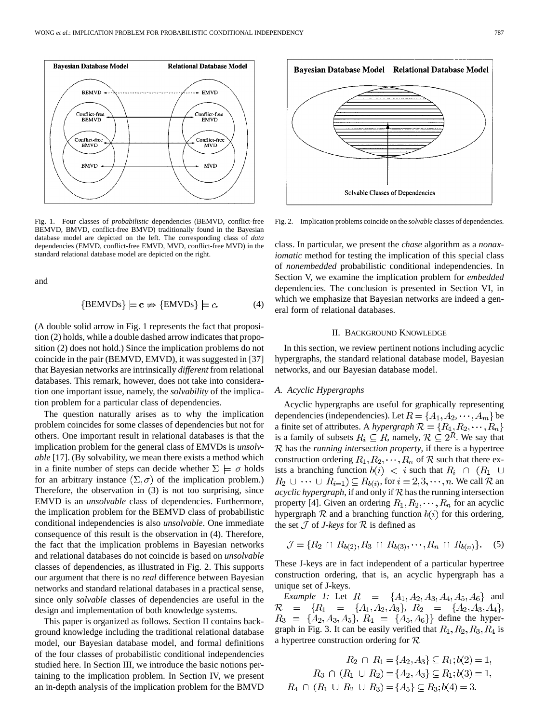

Fig. 1. Four classes of *probabilistic* dependencies (BEMVD, conflict-free BEMVD, BMVD, conflict-free BMVD) traditionally found in the Bayesian database model are depicted on the left. The corresponding class of *data* dependencies (EMVD, conflict-free EMVD, MVD, conflict-free MVD) in the standard relational database model are depicted on the right.

and

$$
\{BEMVDs\} \models \mathbf{c} \nRightarrow \{EMVDs\} \models c. \tag{4}
$$

(A double solid arrow in Fig. 1 represents the fact that proposition (2) holds, while a double dashed arrow indicates that proposition (2) does not hold.) Since the implication problems do not coincide in the pair (BEMVD, EMVD), it was suggested in [37] that Bayesian networks are intrinsically *different* from relational databases. This remark, however, does not take into consideration one important issue, namely, the *solvability* of the implication problem for a particular class of dependencies.

The question naturally arises as to why the implication problem coincides for some classes of dependencies but not for others. One important result in relational databases is that the implication problem for the general class of EMVDs is *unsolvable* [17]. (By solvability, we mean there exists a method which in a finite number of steps can decide whether  $\Sigma \models \sigma$  holds for an arbitrary instance  $(\Sigma, \sigma)$  of the implication problem.) Therefore, the observation in (3) is not too surprising, since EMVD is an *unsolvable* class of dependencies. Furthermore, the implication problem for the BEMVD class of probabilistic conditional independencies is also *unsolvable*. One immediate consequence of this result is the observation in (4). Therefore, the fact that the implication problems in Bayesian networks and relational databases do not coincide is based on *unsolvable* classes of dependencies, as illustrated in Fig. 2. This supports our argument that there is no *real* difference between Bayesian networks and standard relational databases in a practical sense, since only *solvable* classes of dependencies are useful in the design and implementation of both knowledge systems.

This paper is organized as follows. Section II contains background knowledge including the traditional relational database model, our Bayesian database model, and formal definitions of the four classes of probabilistic conditional independencies studied here. In Section III, we introduce the basic notions pertaining to the implication problem. In Section IV, we present an in-depth analysis of the implication problem for the BMVD



Fig. 2. Implication problems coincide on the *solvable* classes of dependencies.

class. In particular, we present the *chase* algorithm as a *nonaxiomatic* method for testing the implication of this special class of *nonembedded* probabilistic conditional independencies. In Section V, we examine the implication problem for *embedded* dependencies. The conclusion is presented in Section VI, in which we emphasize that Bayesian networks are indeed a general form of relational databases.

#### II. BACKGROUND KNOWLEDGE

In this section, we review pertinent notions including acyclic hypergraphs, the standard relational database model, Bayesian networks, and our Bayesian database model.

## *A. Acyclic Hypergraphs*

Acyclic hypergraphs are useful for graphically representing dependencies (independencies). Let  $R = \{A_1, A_2, \dots, A_m\}$  be a finite set of attributes. A *hypergraph*  $\mathcal{R} = \{R_1, R_2, \cdots, R_n\}$ is a family of subsets  $R_i \subseteq R$ , namely,  $\mathcal{R} \subseteq 2^R$ . We say that has the *running intersection property*, if there is a hypertree construction ordering  $R_1, R_2, \dots, R_n$  of  $R$  such that there exists a branching function  $b(i) < i$  such that  $R_i \cap (R_1 \cup$  $R_2 \cup \cdots \cup R_{i-1} \subseteq R_{b(i)}$ , for  $i = 2, 3, \cdots, n$ . We call  $\mathcal R$  an *acyclic hypergraph*, if and only if  $R$  has the running intersection property [4]. Given an ordering  $R_1, R_2, \cdots, R_n$  for an acyclic hypergraph  $R$  and a branching function  $b(i)$  for this ordering, the set  $\mathcal J$  of *J-keys* for  $\mathcal R$  is defined as

$$
\mathcal{J} = \{ R_2 \cap R_{b(2)}, R_3 \cap R_{b(3)}, \cdots, R_n \cap R_{b(n)} \}.
$$
 (5)

These J-keys are in fact independent of a particular hypertree construction ordering, that is, an acyclic hypergraph has a unique set of J-keys.

*Example 1:* Let  $R = \{A_1, A_2, A_3, A_4, A_5, A_6\}$  and  $R = \{R_1 = \{A_1, A_2, A_3\}, R_2 = \{A_2, A_3, A_4\},$  $R_3 = \{A_2, A_3, A_5\}, R_4 = \{A_5, A_6\}$  define the hypergraph in Fig. 3. It can be easily verified that  $R_1, R_2, R_3, R_4$  is a hypertree construction ordering for  $\mathcal R$ 

$$
R_2 \cap R_1 = \{A_2, A_3\} \subseteq R_1; b(2) = 1,
$$
  
\n
$$
R_3 \cap (R_1 \cup R_2) = \{A_2, A_3\} \subseteq R_1; b(3) = 1,
$$
  
\n
$$
R_4 \cap (R_1 \cup R_2 \cup R_3) = \{A_5\} \subseteq R_3; b(4) = 3.
$$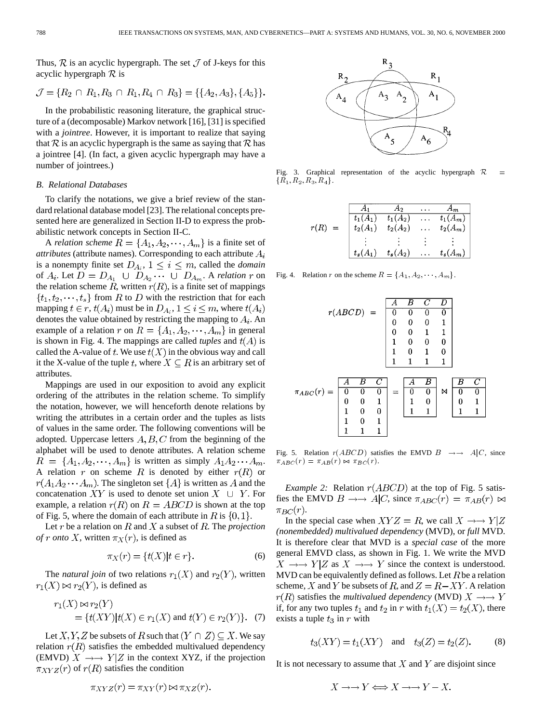Thus,  $\mathcal R$  is an acyclic hypergraph. The set  $\mathcal J$  of J-keys for this acyclic hypergraph  $\mathcal R$  is

$$
\mathcal{J} = \{R_2 \cap R_1, R_3 \cap R_1, R_4 \cap R_3\} = \{\{A_2, A_3\}, \{A_5\}\}.
$$

In the probabilistic reasoning literature, the graphical structure of a (decomposable) Markov network [16], [31] is specified with a *jointree*. However, it is important to realize that saying that  $\mathcal R$  is an acyclic hypergraph is the same as saying that  $\mathcal R$  has a jointree [4]. (In fact, a given acyclic hypergraph may have a number of jointrees.)

#### *B. Relational Databases*

To clarify the notations, we give a brief review of the standard relational database model [23]. The relational concepts presented here are generalized in Section II-D to express the probabilistic network concepts in Section II-C.

A *relation scheme*  $R = \{A_1, A_2, \dots, A_m\}$  is a finite set of *attributes* (attribute names). Corresponding to each attribute  $A_i$ is a nonempty finite set  $D_{A_i}$ ,  $1 \leq i \leq m$ , called the *domain* of  $A_i$ . Let  $D = D_{A_1} \cup D_{A_2} \cdots \cup D_{A_m}$ . A *relation* r on the relation scheme R, written  $r(R)$ , is a finite set of mappings  $\{t_1, t_2, \dots, t_s\}$  from R to D with the restriction that for each mapping  $t \in r$ ,  $t(A_i)$  must be in  $D_{A_i}$ ,  $1 \le i \le m$ , where  $t(A_i)$ denotes the value obtained by restricting the mapping to  $A_i$ . An example of a relation r on  $R = \{A_1, A_2, \dots, A_m\}$  in general is shown in Fig. 4. The mappings are called *tuples* and  $t(A)$  is called the A-value of t. We use  $t(X)$  in the obvious way and call it the X-value of the tuple t, where  $X \subseteq R$  is an arbitrary set of attributes.

Mappings are used in our exposition to avoid any explicit ordering of the attributes in the relation scheme. To simplify the notation, however, we will henceforth denote relations by writing the attributes in a certain order and the tuples as lists of values in the same order. The following conventions will be adopted. Uppercase letters  $A, B, C$  from the beginning of the alphabet will be used to denote attributes. A relation scheme  $R = \{A_1, A_2, \cdots, A_m\}$  is written as simply  $A_1 A_2 \cdots A_m$ . A relation r on scheme R is denoted by either  $r(R)$  or  $r(A_1A_2\cdots A_m)$ . The singleton set  $\{A\}$  is written as A and the concatenation  $XY$  is used to denote set union  $X \cup Y$ . For example, a relation  $r(R)$  on  $R = ABCD$  is shown at the top of Fig. 5, where the domain of each attribute in R is  $\{0, 1\}$ .

Let  $r$  be a relation on  $R$  and  $X$  a subset of  $R$ . The *projection of r onto* X, written  $\pi_X(r)$ , is defined as

$$
\pi_X(r) = \{t(X)|t \in r\}.\tag{6}
$$

The *natural join* of two relations  $r_1(X)$  and  $r_2(Y)$ , written  $r_1(X) \bowtie r_2(Y)$ , is defined as

$$
r_1(X) \bowtie r_2(Y)
$$
  
= { $t(XY)$ | $t(X) \in r_1(X)$  and  $t(Y) \in r_2(Y)$ }. (7)

Let X, Y, Z be subsets of R such that  $(Y \cap Z) \subseteq X$ . We say relation  $r(R)$  satisfies the embedded multivalued dependency (EMVD)  $X \rightarrow Y|Z$  in the context XYZ, if the projection  $\pi_{XYZ}(r)$  of  $r(R)$  satisfies the condition

$$
\begin{array}{c|c}\n & R_3 \\
 & A_4 \\
 & A_5 \\
 & A_6\n\end{array}\n\qquad\n\begin{array}{c|c}\n & R_1 \\
 & A_1 \\
 & A_2 \\
 & A_4 \\
 & A_5\n\end{array}\n\qquad\n\begin{array}{c|c}\n & R_1 \\
 & A_2 \\
 & A_6 \\
 & A_7 \\
 & A_8 \\
 & A_9 \\
 & A_1 \\
 & A_2 \\
 & A_3 \\
 & A_4 \\
 & A_5 \\
 & A_6 \\
 & A_7 \\
 & A_8 \\
 & A_9 \\
 & A_1 \\
 & A_2 \\
 & A_3 \\
 & A_4 \\
 & A_5 \\
 & A_6 \\
 & A_7 \\
 & A_8 \\
 & A_9 \\
 & A_1 \\
 & A_2 \\
 & A_3 \\
 & A_4 \\
 & A_5 \\
 & A_6 \\
 & A_7 \\
 & A_8 \\
 & A_9 \\
 & A_1 \\
 & A_2 \\
 & A_3 \\
 & A_4 \\
 & A_5 \\
 & A_6 \\
 & A_7 \\
 & A_8 \\
 & A_9 \\
 & A_1 \\
 & A_2 \\
 & A_1 \\
 & A_2 \\
 & A_3 \\
 & A_4 \\
 & A_5 \\
 & A_6 \\
 & A_7 \\
 & A_8 \\
 & A_9 \\
 & A_1 \\
 & A_2 \\
 & A_1 \\
 & A_2 \\
 & A_3 \\
 & A_4 \\
 & A_5 \\
 & A_6 \\
 & A_7 \\
 & A_8 \\
 & A_9 \\
 & A_1 \\
 & A_2 \\
 & A_1 \\
 & A_2 \\
 & A_3 \\
 & A_4 \\
 & A_5 \\
 & A_6 \\
 & A_7 \\
 & A_8 \\
 & A_9 \\
 & A_1 \\
 & A_2 \\
 & A_1 \\
 & A_2 \\
 & A_1 \\
 & A_2 \\
 & A_2 \\
 & A_3 \\
 & A_4 \\
 & A_5 \\
 & A_6 \\
 & A_7 \\
 & A_8 \\
 & A_9 \\
 & A_1 \\
 & A_2 \\
 & A_1 \\
 & A_2 \\
 & A_3 \\
 & A_4 \\
 & A_5 \\
 & A_6 \\
 & A_7 \\
 & A_8 \\
 & A_9 \\
 & A_0 \\
 & A_1 \\
 & A_1 \\
 & A_2 \\
 & A_3 \\
 & A_4 \\
 & A_5 \\
 & A_6 \\
 & A_7 \\
 & A_8 \\
 & A_9 \\
 & A_0 \\
 & A_1 \\
 & A_1 \\
 & A_2 \\
 & A_3 \\
 & A_4 \\
 & A_5 \\
 & A_6 \\
 & A_7 \\
 & A_8 \\
 & A_9 \\
 & A_0 \\
 & A_1 \\
 & A_1 \\
 & A_2 \\
 & A_3 \\
 & A_4 \\
 & A_1 \\
 & A_2 \\
 & A_3 \\
 & A_4 \\
 & A_5 \\
$$

Fig. 3. Graphical representation of the acyclic hypergraph  $\mathcal R$  ${R_1, R_2, R_3, R_4}.$ 

|                           |            | Ao         | $A_m$      |
|---------------------------|------------|------------|------------|
|                           | $t_1(A_1)$ | $t_1(A_2)$ | $t_1(A_m)$ |
| r(R)<br>$\qquad \qquad =$ | $t_2(A_1)$ | $t_2(A_2)$ | $t_2(A_m)$ |
|                           |            |            |            |
|                           | $t_s(A_1)$ | $t_s(A_2)$ | $t_s(A_m)$ |

Fig. 4. Relation r on the scheme  $R = \{A_1, A_2, \dots, A_m\}.$ 

$$
\pi_{ABC}(r) = \begin{array}{|cc|cc|} \hline A & B & C & D \\ \hline 0 & 0 & 0 & 0 \\ 0 & 0 & 0 & 1 \\ 0 & 0 & 1 & 1 \\ 1 & 0 & 0 & 0 \\ 1 & 1 & 1 & 1 \\ 1 & 0 & 1 & 0 \\ 1 & 1 & 0 & 0 \\ 0 & 0 & 1 & 0 \\ 1 & 0 & 0 & 1 \\ 1 & 0 & 1 & 1 \\ 1 & 1 & 1 & 1 \\ \hline \end{array}
$$

Fig. 5. Relation  $r(ABCD)$  satisfies the EMVD  $B \rightarrow A|C$ , since  $\pi_{ABC}(r) = \pi_{AB}(r) \bowtie \pi_{BC}(r).$ 

*Example 2:* Relation  $r(ABCD)$  at the top of Fig. 5 satisfies the EMVD  $B \rightarrow A/C$ , since  $\pi_{ABC}(r) = \pi_{AB}(r) \bowtie$  $\pi_{BC}(r)$ .

In the special case when  $XYZ = R$ , we call  $X \rightarrow Y|Z$ *(nonembedded) multivalued dependency* (MVD), or *full* MVD. It is therefore clear that MVD is a *special case* of the more general EMVD class, as shown in Fig. 1. We write the MVD  $X \longrightarrow Y|Z$  as  $X \longrightarrow Y$  since the context is understood. MVD can be equivalently defined as follows. Let  $R$  be a relation scheme, X and Y be subsets of R, and  $Z = R - XY$ . A relation  $r(R)$  satisfies the *multivalued dependency* (MVD)  $X \rightarrow Y$ if, for any two tuples  $t_1$  and  $t_2$  in r with  $t_1(X) = t_2(X)$ , there exists a tuple  $t_3$  in r with

$$
t_3(XY) = t_1(XY)
$$
 and  $t_3(Z) = t_2(Z)$ . (8)

It is not necessary to assume that  $X$  and  $Y$  are disjoint since

$$
\pi_{XYZ}(r) = \pi_{XY}(r) \bowtie \pi_{XZ}(r).
$$

$$
X \to Y \Longleftrightarrow X \to Y - X.
$$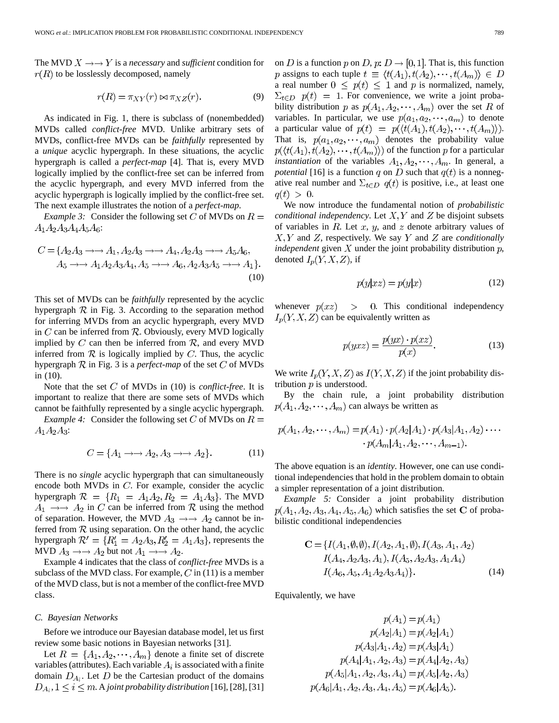The MVD  $X \rightarrow Y$  is a *necessary* and *sufficient* condition for  $r(R)$  to be losslessly decomposed, namely

$$
r(R) = \pi_{XY}(r) \bowtie \pi_{XZ}(r).
$$
 (9)

As indicated in Fig. 1, there is subclass of (nonembedded) MVDs called *conflict-free* MVD. Unlike arbitrary sets of MVDs, conflict-free MVDs can be *faithfully* represented by a *unique* acyclic hypergraph. In these situations, the acyclic hypergraph is called a *perfect-map* [4]. That is, every MVD logically implied by the conflict-free set can be inferred from the acyclic hypergraph, and every MVD inferred from the acyclic hypergraph is logically implied by the conflict-free set. The next example illustrates the notion of a *perfect-map*.

*Example 3:* Consider the following set C of MVDs on  $R =$  $A_1A_2A_3A_4A_5A_6$ :

$$
C = \{A_2A_3 \to A_1, A_2A_3 \to A_4, A_2A_3 \to A_5A_6, A_5 \to A_1A_2A_3A_4, A_5 \to A_6, A_2A_3A_5 \to A_1\}.
$$
  
(10)

This set of MVDs can be *faithfully* represented by the acyclic hypergraph  $\mathcal R$  in Fig. 3. According to the separation method for inferring MVDs from an acyclic hypergraph, every MVD in C can be inferred from  $\mathcal R$ . Obviously, every MVD logically implied by  $C$  can then be inferred from  $R$ , and every MVD inferred from  $\mathcal R$  is logically implied by C. Thus, the acyclic hypergraph  $\mathcal R$  in Fig. 3 is a *perfect-map* of the set  $C$  of MVDs in (10).

Note that the set  $C$  of MVDs in (10) is *conflict-free*. It is important to realize that there are some sets of MVDs which cannot be faithfully represented by a single acyclic hypergraph.

*Example 4:* Consider the following set C of MVDs on  $R =$  $A_1A_2A_3$ :

$$
C = \{A_1 \to A_2, A_3 \to A_2\}.
$$
 (11)

There is no *single* acyclic hypergraph that can simultaneously encode both MVDs in  $C$ . For example, consider the acyclic hypergraph  $R = \{R_1 = A_1A_2, R_2 = A_1A_3\}$ . The MVD  $A_1 \rightarrow A_2$  in C can be inferred from R using the method of separation. However, the MVD  $A_3 \rightarrow A_2$  cannot be inferred from  $R$  using separation. On the other hand, the acyclic hypergraph  $\mathcal{R}' = \{R'_1 = A_2A_3, R'_2 = A_1A_3\}$ , represents the MVD  $A_3 \rightarrow A_2$  but not  $A_1 \rightarrow A_2$ .

Example 4 indicates that the class of *conflict-free* MVDs is a subclass of the MVD class. For example,  $C$  in (11) is a member of the MVD class, but is not a member of the conflict-free MVD class.

## *C. Bayesian Networks*

Before we introduce our Bayesian database model, let us first review some basic notions in Bayesian networks [31].

Let  $R = \{A_1, A_2, \dots, A_m\}$  denote a finite set of discrete variables (attributes). Each variable  $A_i$  is associated with a finite domain  $D_{A_i}$ . Let D be the Cartesian product of the domains  $D_{A_i}$ ,  $1 \leq i \leq m$ . A joint probability distribution [16], [28], [31] on D is a function p on D, p:  $D \rightarrow [0, 1]$ . That is, this function p assigns to each tuple  $t \equiv \langle t(A_1), t(A_2), \cdots, t(A_m) \rangle \in D$ a real number  $0 \leq p(t) \leq 1$  and p is normalized, namely,  $\Sigma_{t\in D}$   $p(t) = 1$ . For convenience, we write a joint probability distribution p as  $p(A_1, A_2, \dots, A_m)$  over the set R of variables. In particular, we use  $p(a_1, a_2, \dots, a_m)$  to denote a particular value of  $p(t) = p(\langle t(A_1), t(A_2), \cdots, t(A_m) \rangle)$ . That is,  $p(a_1, a_2, \dots, a_m)$  denotes the probability value  $p(\langle t(A_1), t(A_2), \cdots, t(A_m) \rangle)$  of the function p for a particular *instantiation* of the variables  $A_1, A_2, \dots, A_m$ . In general, a *potential* [16] is a function q on D such that  $q(t)$  is a nonnegative real number and  $\Sigma_{t\in D}$   $q(t)$  is positive, i.e., at least one  $q(t) > 0.$ 

We now introduce the fundamental notion of *probabilistic conditional independency*. Let  $X, Y$  and  $Z$  be disjoint subsets of variables in  $R$ . Let  $x$ ,  $y$ , and  $z$  denote arbitrary values of  $X, Y$  and  $Z$ , respectively. We say Y and  $Z$  are *conditionally independent* given  $X$  under the joint probability distribution  $p$ , denoted  $I_p(Y, X, Z)$ , if

$$
p(y|xz) = p(y|x) \tag{12}
$$

whenever  $p(xz) > 0$ . This conditional independency  $I_p(Y, X, Z)$  can be equivalently written as

$$
p(yxz) = \frac{p(yx) \cdot p(xz)}{p(x)}.
$$
 (13)

We write  $I_p(Y, X, Z)$  as  $I(Y, X, Z)$  if the joint probability distribution  $p$  is understood.

By the chain rule, a joint probability distribution  $p(A_1, A_2, \dots, A_m)$  can always be written as

$$
p(A_1, A_2, \cdots, A_m) = p(A_1) \cdot p(A_2|A_1) \cdot p(A_3|A_1, A_2) \cdots
$$

$$
\cdot p(A_m|A_1, A_2, \cdots, A_{m-1}).
$$

The above equation is an *identity*. However, one can use conditional independencies that hold in the problem domain to obtain a simpler representation of a joint distribution.

*Example 5:* Consider a joint probability distribution  $p(A_1, A_2, A_3, A_4, A_5, A_6)$  which satisfies the set C of probabilistic conditional independencies

$$
\mathbf{C} = \{ I(A_1, \emptyset, \emptyset), I(A_2, A_1, \emptyset), I(A_3, A_1, A_2) I(A_4, A_2A_3, A_1), I(A_5, A_2A_3, A_1A_4) I(A_6, A_5, A_1A_2A_3A_4) \}.
$$
 (14)

Equivalently, we have

$$
p(A_1) = p(A_1)
$$
  
\n
$$
p(A_2|A_1) = p(A_2|A_1)
$$
  
\n
$$
p(A_3|A_1, A_2) = p(A_3|A_1)
$$
  
\n
$$
p(A_4|A_1, A_2, A_3) = p(A_4|A_2, A_3)
$$
  
\n
$$
p(A_5|A_1, A_2, A_3, A_4) = p(A_5|A_2, A_3)
$$
  
\n
$$
p(A_6|A_1, A_2, A_3, A_4, A_5) = p(A_6|A_5).
$$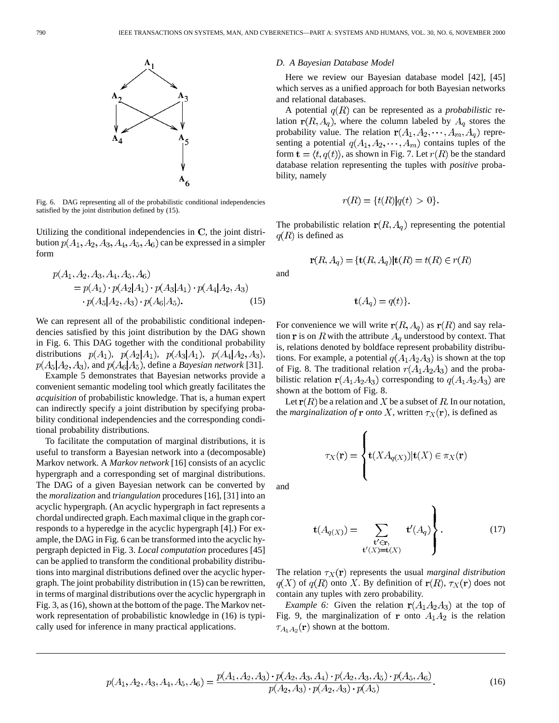

Fig. 6. DAG representing all of the probabilistic conditional independencies satisfied by the joint distribution defined by (15).

Utilizing the conditional independencies in  $C$ , the joint distribution  $p(A_1, A_2, A_3, A_4, A_5, A_6)$  can be expressed in a simpler form

$$
p(A_1, A_2, A_3, A_4, A_5, A_6)
$$
  
=  $p(A_1) \cdot p(A_2|A_1) \cdot p(A_3|A_1) \cdot p(A_4|A_2, A_3)$   
 $\cdot p(A_5|A_2, A_3) \cdot p(A_6|A_5).$  (15)

We can represent all of the probabilistic conditional independencies satisfied by this joint distribution by the DAG shown in Fig. 6. This DAG together with the conditional probability distributions  $p(A_1)$ ,  $p(A_2|A_1)$ ,  $p(A_3|A_1)$ ,  $p(A_4|A_2, A_3)$ ,  $p(A_5|A_2, A_3)$ , and  $p(A_6|A_5)$ , define a *Bayesian network* [31].

Example 5 demonstrates that Bayesian networks provide a convenient semantic modeling tool which greatly facilitates the *acquisition* of probabilistic knowledge. That is, a human expert can indirectly specify a joint distribution by specifying probability conditional independencies and the corresponding conditional probability distributions.

To facilitate the computation of marginal distributions, it is useful to transform a Bayesian network into a (decomposable) Markov network. A *Markov network* [16] consists of an acyclic hypergraph and a corresponding set of marginal distributions. The DAG of a given Bayesian network can be converted by the *moralization* and *triangulation* procedures [16], [31] into an acyclic hypergraph. (An acyclic hypergraph in fact represents a chordal undirected graph. Each maximal clique in the graph corresponds to a hyperedge in the acyclic hypergraph [4].) For example, the DAG in Fig. 6 can be transformed into the acyclic hypergraph depicted in Fig. 3. *Local computation* procedures [45] can be applied to transform the conditional probability distributions into marginal distributions defined over the acyclic hypergraph. The joint probability distribution in (15) can be rewritten, in terms of marginal distributions over the acyclic hypergraph in Fig. 3, as (16), shown at the bottom of the page. The Markov network representation of probabilistic knowledge in (16) is typically used for inference in many practical applications.

#### *D. A Bayesian Database Model*

Here we review our Bayesian database model [42], [45] which serves as a unified approach for both Bayesian networks and relational databases.

A potential  $q(R)$  can be represented as a *probabilistic* relation  $r(R, A_q)$ , where the column labeled by  $A_q$  stores the probability value. The relation  $r(A_1, A_2, \dots, A_m, A_q)$  representing a potential  $q(A_1, A_2, \dots, A_m)$  contains tuples of the form  $\mathbf{t} = \langle t, q(t) \rangle$ , as shown in Fig. 7. Let  $r(R)$  be the standard database relation representing the tuples with *positive* probability, namely

$$
r(R) = \{t(R)|q(t) > 0\}.
$$

The probabilistic relation  $r(R, A_q)$  representing the potential  $q(R)$  is defined as

$$
\mathbf{r}(R, A_q) = \{ \mathbf{t}(R, A_q) | \mathbf{t}(R) = t(R) \in r(R)
$$

and

$$
\mathbf{t}(A_q) = q(t).
$$

For convenience we will write  $r(R, A_q)$  as  $r(R)$  and say relation  $\bf{r}$  is on  $R$  with the attribute  $A_q$  understood by context. That is, relations denoted by boldface represent probability distributions. For example, a potential  $q(A_1A_2A_3)$  is shown at the top of Fig. 8. The traditional relation  $r(A_1A_2A_3)$  and the probabilistic relation  $r(A_1A_2A_3)$  corresponding to  $q(A_1A_2A_3)$  are shown at the bottom of Fig. 8.

Let  $r(R)$  be a relation and X be a subset of R. In our notation, the *marginalization of* **r** *onto* X, written  $\tau_X(\mathbf{r})$ , is defined as

$$
\tau_X(\mathbf{r}) = \begin{cases} \mathbf{t}(XA_{q(X)})|\mathbf{t}(X) \in \pi_X(\mathbf{r}) \\ \end{cases}
$$

and

$$
\mathbf{t}(A_{q(X)}) = \sum_{\substack{\mathbf{t}' \in \mathbf{r},\\ \mathbf{t}'(X) = \mathbf{t}(X)}} \mathbf{t}'(A_q) \Bigg\}.
$$
 (17)

The relation  $\tau_X(\mathbf{r})$  represents the usual *marginal distribution*  $q(X)$  of  $q(R)$  onto X. By definition of  $r(R)$ ,  $\tau_X(r)$  does not contain any tuples with zero probability.

*Example 6:* Given the relation  $r(A_1A_2A_3)$  at the top of Fig. 9, the marginalization of **r** onto  $A_1A_2$  is the relation  $\tau_{A_1A_2}(\mathbf{r})$  shown at the bottom.

$$
p(A_1, A_2, A_3, A_4, A_5, A_6) = \frac{p(A_1, A_2, A_3) \cdot p(A_2, A_3, A_4) \cdot p(A_2, A_3, A_5) \cdot p(A_5, A_6)}{p(A_2, A_3) \cdot p(A_2, A_3) \cdot p(A_5)}.
$$
(16)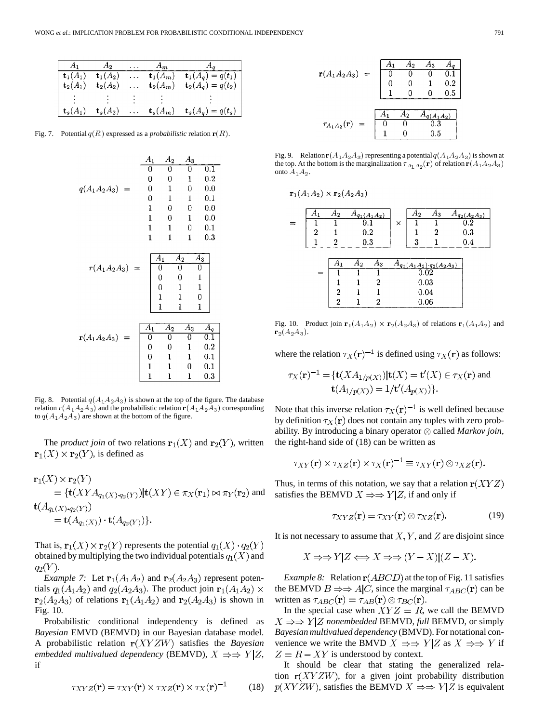| $A_1$               | $A_2$               |          | $A_m$               | A <sub>q</sub>                          |
|---------------------|---------------------|----------|---------------------|-----------------------------------------|
| $\mathbf{t}_1(A_1)$ | $\mathbf{t}_1(A_2)$ |          | $\mathbf{t}_1(A_m)$ | $\overline{\mathbf{t}_1(A_q)} = q(t_1)$ |
| $\mathbf{t}_2(A_1)$ | $\mathbf{t}_2(A_2)$ |          | $\mathbf{t}_2(A_m)$ | ${\bf t}_2(A_q) = q(t_2)$               |
|                     |                     |          |                     |                                         |
| $\mathbf{t}_s(A_1)$ | $\mathbf{t}_s(A_2)$ | $\sim$ . | $\mathbf{t}_s(A_m)$ | $t_s(A_q) = q(t_s)$                     |

Fig. 7. Potential  $q(R)$  expressed as a *probabilistic* relation  $r(R)$ .

$$
q(A_1A_2A_3) = \begin{pmatrix} A_1 & A_2 & A_3 \\ 0 & 0 & 0 & 0.1 \\ 0 & 0 & 1 & 0.2 \\ 0 & 1 & 0 & 0.0 \\ 0 & 1 & 1 & 0.1 \\ 1 & 0 & 0 & 0.0 \\ 1 & 1 & 0 & 1 & 0.0 \\ 1 & 1 & 1 & 0.3 \end{pmatrix}
$$

$$
r(A_1A_2A_3) = \begin{pmatrix} A_1 & A_2 & A_3 \\ 0 & 0 & 0 \\ 0 & 0 & 1 \\ 0 & 1 & 1 \\ 1 & 1 & 0 \\ 1 & 1 & 1 \end{pmatrix}
$$

$$
r(A_1A_2A_3) = \begin{pmatrix} A_1 & A_2 & A_3 & A_9 \\ 0 & 0 & 0 & 1 \\ 1 & 1 & 1 & 0 \\ 0 & 0 & 1 & 0.2 \\ 0 & 0 & 1 & 0.2 \\ 0 & 1 & 1 & 0.1 \\ 1 & 1 & 0 & 0.1 \\ 1 & 1 & 1 & 0.3 \end{pmatrix}
$$

Fig. 8. Potential  $q(A_1 A_2 A_3)$  is shown at the top of the figure. The database relation  $r(A_1A_2A_3)$  and the probabilistic relation  $r(A_1A_2A_3)$  corresponding to  $q(A_1 A_2 A_3)$  are shown at the bottom of the figure.

The *product join* of two relations  $\mathbf{r}_1(X)$  and  $\mathbf{r}_2(Y)$ , written  ${\bf r}_1(X) \times {\bf r}_2(Y)$ , is defined as

$$
\begin{aligned} \mathbf{r}_1(X) &\times \mathbf{r}_2(Y) \\ &= \{ \mathbf{t}(XYA_{q_1(X)\cdot q_2(Y)}) | \mathbf{t}(XY) \in \pi_X(\mathbf{r}_1) \bowtie \pi_Y(\mathbf{r}_2) \text{ and} \\ \mathbf{t}(A_{q_1(X)\cdot q_2(Y)}) \\ &= \mathbf{t}(A_{q_1(X)}) \cdot \mathbf{t}(A_{q_2(Y)}) \}. \end{aligned}
$$

That is,  $\mathbf{r}_1(X) \times \mathbf{r}_2(Y)$  represents the potential  $q_1(X) \cdot q_2(Y)$ obtained by multiplying the two individual potentials  $q_1(X)$  and  $q_2(Y)$ .

*Example 7:* Let  $\mathbf{r}_1(A_1A_2)$  and  $\mathbf{r}_2(A_2A_3)$  represent potentials  $q_1(A_1A_2)$  and  $q_2(A_2A_3)$ . The product join  $r_1(A_1A_2) \times$  $\mathbf{r}_2(A_2A_3)$  of relations  $\mathbf{r}_1(A_1A_2)$  and  $\mathbf{r}_2(A_2A_3)$  is shown in Fig. 10.

Probabilistic conditional independency is defined as *Bayesian* EMVD (BEMVD) in our Bayesian database model. A probabilistic relation  $r(XYZW)$  satisfies the *Bayesian embedded multivalued dependency* (BEMVD),  $X \Rightarrow Y|Z$ , if

$$
\tau_{XYZ}(\mathbf{r}) = \tau_{XY}(\mathbf{r}) \times \tau_{XZ}(\mathbf{r}) \times \tau_X(\mathbf{r})^{-1} \tag{18}
$$

$$
\mathbf{r}(A_1 A_2 A_3) = \begin{bmatrix} A_1 & A_2 & A_3 & A_q \\ 0 & 0 & 0 & 0.1 \\ 0 & 0 & 1 & 0.2 \\ 1 & 0 & 0 & 0.5 \end{bmatrix}
$$

$$
\tau_{A_1 A_2}(\mathbf{r}) = \begin{bmatrix} A_1 & A_2 & A_q(A_1 A_2) \\ 0 & 0 & 0.3 \\ 1 & 0 & 0.5 \end{bmatrix}
$$

Fig. 9. Relation  $r(A_1 A_2 A_3)$  representing a potential  $q(A_1 A_2 A_3)$  is shown at the top. At the bottom is the marginalization  $\tau_{A_1 \, A_2}({\bf r})$  of relation  ${\bf r}(A_1 A_2 A_3)$ onto  $A_1A_2$ .

$$
\mathbf{r}_1(A_1A_2) \times \mathbf{r}_2(A_2A_3)
$$

|     | $A_2$       |    |       |                                 | $A_2$ | A3 | $A_{q_2(A_2A_3)}$                                                            |
|-----|-------------|----|-------|---------------------------------|-------|----|------------------------------------------------------------------------------|
|     |             |    |       | ×                               |       |    | $\overline{0.2}$                                                             |
| 2   |             |    |       |                                 |       | 2  | 0.3                                                                          |
|     |             |    |       |                                 | 3     |    | 0.4                                                                          |
|     |             |    |       |                                 |       |    |                                                                              |
|     | A1          | A2 | $A_3$ |                                 |       |    |                                                                              |
| $=$ |             |    |       |                                 |       |    |                                                                              |
|     |             |    | 2     |                                 |       |    |                                                                              |
|     | $\mathbf 2$ |    |       |                                 |       |    |                                                                              |
|     | 2           |    | ົາ    |                                 |       |    |                                                                              |
|     |             |    |       | $A_{q_1}(A_1A_2)$<br>0.2<br>0.3 |       |    | $q_1(A_1A_2) \cdot q_2(A_2A_3)$<br>$\overline{0.02}$<br>0.03<br>0.04<br>0.06 |

Fig. 10. Product join  $\mathbf{r}_1(A_1A_2) \times \mathbf{r}_2(A_2A_3)$  of relations  $\mathbf{r}_1(A_1A_2)$  and  $r_2(A_2A_3).$ 

where the relation  $\tau_X(\mathbf{r})^{-1}$  is defined using  $\tau_X(\mathbf{r})$  as follows:

$$
\tau_X(\mathbf{r})^{-1} = \{ \mathbf{t}(XA_{1/p(X)}) | \mathbf{t}(X) = \mathbf{t}'(X) \in \tau_X(\mathbf{r}) \text{ and}
$$
  

$$
\mathbf{t}(A_{1/p(X)}) = 1/\mathbf{t}'(A_{p(X)}) \}.
$$

Note that this inverse relation  $\tau_X(\mathbf{r})^{-1}$  is well defined because by definition  $\tau_X(\mathbf{r})$  does not contain any tuples with zero probability. By introducing a binary operator  $\otimes$  called *Markov join*, the right-hand side of (18) can be written as

$$
\tau_{XY}(\mathbf{r}) \times \tau_{XZ}(\mathbf{r}) \times \tau_X(\mathbf{r})^{-1} \equiv \tau_{XY}(\mathbf{r}) \otimes \tau_{XZ}(\mathbf{r}).
$$

Thus, in terms of this notation, we say that a relation  $r(XYZ)$ satisfies the BEMVD  $X \Rightarrow Y|Z$ , if and only if

$$
\tau_{XYZ}(\mathbf{r}) = \tau_{XY}(\mathbf{r}) \otimes \tau_{XZ}(\mathbf{r}). \tag{19}
$$

It is not necessary to assume that  $X, Y$ , and  $Z$  are disjoint since

$$
X \Rightarrow Y|Z \Longleftrightarrow X \Rightarrow \Rightarrow (Y - X)|(Z - X).
$$

*Example 8:* Relation  $r(ABCD)$  at the top of Fig. 11 satisfies the BEMVD  $B \Rightarrow A|C$ , since the marginal  $\tau_{ABC}(\mathbf{r})$  can be written as  $\tau_{ABC}(\mathbf{r}) = \tau_{AB}(\mathbf{r}) \otimes \tau_{BC}(\mathbf{r}).$ 

In the special case when  $XYZ = R$ , we call the BEMVD  $X \Rightarrow Y|Z$  *nonembedded* BEMVD, *full* BEMVD, or simply *Bayesian multivalued dependency* (BMVD). For notational convenience we write the BMVD  $X \Rightarrow Y|Z$  as  $X \Rightarrow Y$  if  $Z = R - XY$  is understood by context.

It should be clear that stating the generalized relation  $r(XYZW)$ , for a given joint probability distribution  $p(XYZW)$ , satisfies the BEMVD  $X \Rightarrow Y|Z$  is equivalent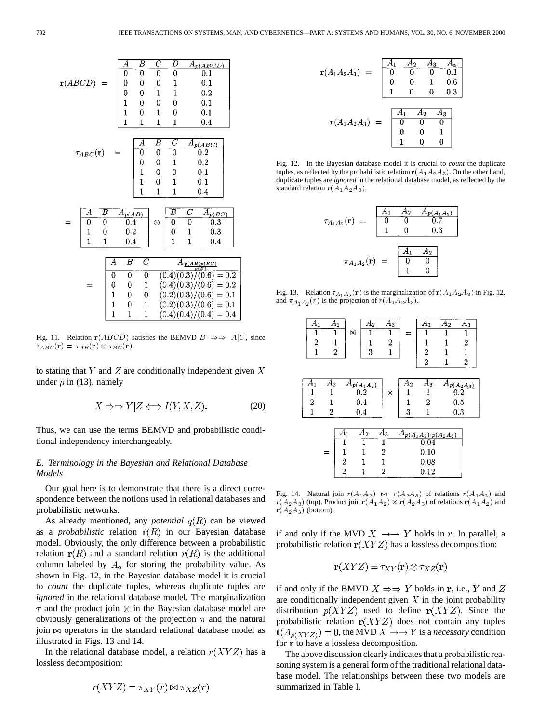

Fig. 11. Relation  $r(ABCD)$  satisfies the BEMVD  $B \implies A|C$ , since  $\tau_{ABC}(\mathbf{r}) = \tau_{AB}(\mathbf{r}) \otimes \tau_{BC}(\mathbf{r}).$ 

to stating that  $Y$  and  $Z$  are conditionally independent given  $X$ under  $p$  in (13), namely

$$
X \Rightarrow Y|Z \Longleftrightarrow I(Y, X, Z). \tag{20}
$$

Thus, we can use the terms BEMVD and probabilistic conditional independency interchangeably.

# *E. Terminology in the Bayesian and Relational Database Models*

Our goal here is to demonstrate that there is a direct correspondence between the notions used in relational databases and probabilistic networks.

As already mentioned, any *potential*  $q(R)$  can be viewed as a *probabilistic* relation  $r(R)$  in our Bayesian database model. Obviously, the only difference between a probabilistic relation  $r(R)$  and a standard relation  $r(R)$  is the additional column labeled by  $A_q$  for storing the probability value. As shown in Fig. 12, in the Bayesian database model it is crucial to *count* the duplicate tuples, whereas duplicate tuples are *ignored* in the relational database model. The marginalization  $\tau$  and the product join  $\times$  in the Bayesian database model are obviously generalizations of the projection  $\pi$  and the natural join  $\bowtie$  operators in the standard relational database model as illustrated in Figs. 13 and 14.

In the relational database model, a relation  $r(XYZ)$  has a lossless decomposition:

$$
r(XYZ) = \pi_{XY}(r) \bowtie \pi_{XZ}(r)
$$

$$
r(A_1 A_2 A_3) = \begin{bmatrix} A_1 & A_2 & A_3 & A_p \\ 0 & 0 & 0 & 0.1 \\ 0 & 0 & 1 & 0.6 \\ 1 & 0 & 0 & 0.3 \end{bmatrix}
$$

$$
r(A_1 A_2 A_3) = \begin{bmatrix} A_1 & A_2 & A_3 \\ 0 & 0 & 0 \\ 0 & 0 & 0 \\ 1 & 0 & 0 \end{bmatrix}
$$

Fig. 12. In the Bayesian database model it is crucial to *count* the duplicate tuples, as reflected by the probabilistic relation  $r(A_1 A_2 A_3)$ . On the other hand, duplicate tuples are *ignored* in the relational database model, as reflected by the standard relation  $r(A_1A_2A_3)$ .

$$
\tau_{A_1 A_2}(\mathbf{r}) = \begin{bmatrix} A_1 & A_2 & A_{p(A_1 A_2)} \\ 0 & 0 & 0.7 \\ 1 & 0 & 0.3 \end{bmatrix}
$$

$$
\pi_{A_1 A_2}(\mathbf{r}) = \begin{bmatrix} A_1 & A_2 \\ 0 & 0 \\ 1 & 0 \end{bmatrix}
$$

Fig. 13. Relation  $\tau_{A_1 A_2}(\mathbf{r})$  is the marginalization of  $\mathbf{r}(A_1 A_2 A_3)$  in Fig. 12, and  $\pi_{A_1 A_2}(r)$  is the projection of  $r(A_1 A_2 A_3)$ .

| $\overline{A}_1$<br>$\overline{2}$ | 1                | $\overline{A}_2$<br>M | $\overline{A}_2$ | $\overline{A}_3$<br>$\overline{2}$ |       | $\overline{A}_1$<br>1          | $A_2$ | $A_3$<br>1<br>$\overline{c}$ |
|------------------------------------|------------------|-----------------------|------------------|------------------------------------|-------|--------------------------------|-------|------------------------------|
| 1                                  | $\boldsymbol{2}$ |                       | 3                | 1                                  |       | 2<br>$\overline{2}$            | 1     | 1<br>$\boldsymbol{2}$        |
|                                    |                  |                       |                  |                                    |       |                                |       |                              |
| ${\cal A}_1$                       | $A_2$            |                       | $A_{p(A_1A_2)}$  |                                    | $A_2$ | $\overline{A}_3$               |       | $A_{p(A_2A_3)}$              |
|                                    |                  |                       | 0.2              | ×                                  |       |                                |       | $0.2\,$                      |
| $\overline{2}$                     | 1                |                       | 0.4              |                                    | 1     | 2                              |       | 0.5                          |
| $\mathbf 1$                        | $\boldsymbol{2}$ |                       | 0.4              |                                    | 3     | 1                              |       | 0.3                          |
|                                    |                  |                       |                  |                                    |       |                                |       |                              |
|                                    |                  | $A_1$                 | $\overline{A}_2$ | $A_3$                              |       | $A_{p(A_1A_2)\cdot p(A_2A_3)}$ |       |                              |
|                                    |                  |                       | 1                | 1                                  |       | 0.04                           |       |                              |
|                                    | $=$              | 1                     | 1                | 2                                  |       | 0.10                           |       |                              |
|                                    |                  | 2                     |                  | 1                                  |       | 0.08                           |       |                              |
|                                    |                  | $\overline{2}$        |                  | 2                                  |       | 0.12                           |       |                              |

Fig. 14. Natural join  $r(A_1A_2) \bowtie r(A_2A_3)$  of relations  $r(A_1A_2)$  and  $r(A_2A_3)$  (top). Product join  $r(A_1A_2) \times r(A_2A_3)$  of relations  $r(A_1A_2)$  and  $\mathbf{r}(A_2A_3)$  (bottom).

if and only if the MVD  $X \rightarrow Y$  holds in r. In parallel, a probabilistic relation  $r(XYZ)$  has a lossless decomposition:

$$
\mathbf{r}(XYZ) = \tau_{XY}(\mathbf{r}) \otimes \tau_{XZ}(\mathbf{r})
$$

if and only if the BMVD  $X \Rightarrow Y$  holds in r, i.e., Y and Z are conditionally independent given  $X$  in the joint probability distribution  $p(XYZ)$  used to define  $r(XYZ)$ . Since the probabilistic relation  $r(XYZ)$  does not contain any tuples  $\mathbf{t}(A_{p(XYZ)}) = 0$ , the MVD  $X \rightarrow Y$  is a *necessary* condition for r to have a lossless decomposition.

The above discussion clearly indicates that a probabilistic reasoning system is a general form of the traditional relational database model. The relationships between these two models are summarized in Table I.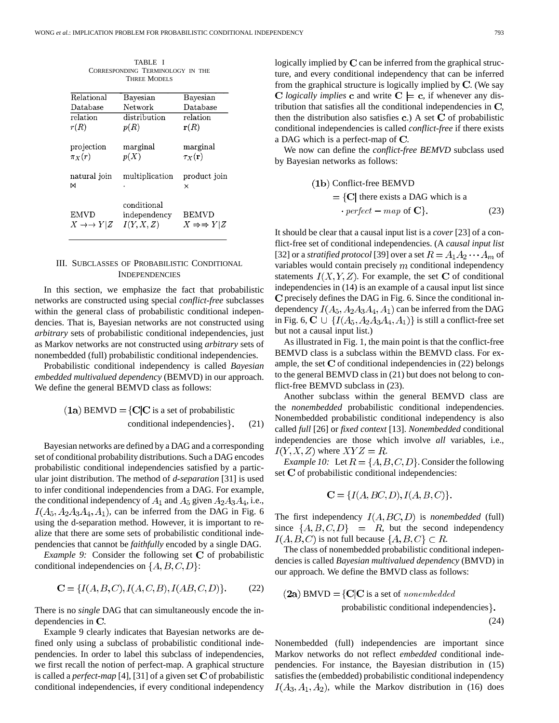| TABLE I                            |                                            |                                     |  |  |  |  |  |  |
|------------------------------------|--------------------------------------------|-------------------------------------|--|--|--|--|--|--|
|                                    | CORRESPONDING TERMINOLOGY IN THE           |                                     |  |  |  |  |  |  |
| <b>THREE MODELS</b>                |                                            |                                     |  |  |  |  |  |  |
| Relational                         | Bayesian                                   | Bayesian                            |  |  |  |  |  |  |
| Database                           | Network                                    | Database                            |  |  |  |  |  |  |
| relation                           | distribution                               | relation                            |  |  |  |  |  |  |
| r(R)                               | p(R)                                       | ${\bf r}(R)$                        |  |  |  |  |  |  |
| projection<br>$\pi_X(r)$           | marginal<br>p(X)                           | marginal<br>$\tau_X(\mathbf{r})$    |  |  |  |  |  |  |
| natural join<br>м                  | multiplication                             | product join<br>×                   |  |  |  |  |  |  |
| <b>EMVD</b><br>$X \rightarrow Y Z$ | conditional<br>independentcy<br>I(Y, X, Z) | <b>BEMVD</b><br>$X \Rightarrow Y Z$ |  |  |  |  |  |  |

## III. SUBCLASSES OF PROBABILISTIC CONDITIONAL INDEPENDENCIES

In this section, we emphasize the fact that probabilistic networks are constructed using special *conflict-free* subclasses within the general class of probabilistic conditional independencies. That is, Bayesian networks are not constructed using *arbitrary* sets of probabilistic conditional independencies, just as Markov networks are not constructed using *arbitrary* sets of nonembedded (full) probabilistic conditional independencies.

Probabilistic conditional independency is called *Bayesian embedded multivalued dependency* (BEMVD) in our approach. We define the general BEMVD class as follows:

(1a) 
$$
BEMVD = \{C|C \text{ is a set of probabilistic conditional independencies} \}.
$$
 (21)

Bayesian networks are defined by a DAG and a corresponding set of conditional probability distributions. Such a DAG encodes probabilistic conditional independencies satisfied by a particular joint distribution. The method of *d-separation* [31] is used to infer conditional independencies from a DAG. For example, the conditional independency of  $A_1$  and  $A_5$  given  $A_2A_3A_4$ , i.e.,  $I(A_5, A_2A_3A_4, A_1)$ , can be inferred from the DAG in Fig. 6 using the d-separation method. However, it is important to realize that there are some sets of probabilistic conditional independencies that cannot be *faithfully* encoded by a single DAG.

*Example 9:* Consider the following set C of probabilistic conditional independencies on  $\{A, B, C, D\}$ :

$$
C = \{I(A, B, C), I(A, C, B), I(AB, C, D)\}.
$$
 (22)

There is no *single* DAG that can simultaneously encode the independencies in  $C$ .

Example 9 clearly indicates that Bayesian networks are defined only using a subclass of probabilistic conditional independencies. In order to label this subclass of independencies, we first recall the notion of perfect-map. A graphical structure is called a *perfect-map* [4], [31] of a given set  $C$  of probabilistic conditional independencies, if every conditional independency logically implied by  $C$  can be inferred from the graphical structure, and every conditional independency that can be inferred from the graphical structure is logically implied by  $C$ . (We say *C* logically implies **c** and write  $C \models c$ , if whenever any distribution that satisfies all the conditional independencies in  $C$ , then the distribution also satisfies  $c$ .) A set  $C$  of probabilistic conditional independencies is called *conflict-free* if there exists a DAG which is a perfect-map of  $C$ .

We now can define the *conflict-free BEMVD* subclass used by Bayesian networks as follows:

(1b) Conflict-free BEMVD  
= 
$$
\{C |
$$
 there exists a DAG which is a  
• perfect – map of C}. (23)

It should be clear that a causal input list is a *cover* [23] of a conflict-free set of conditional independencies. (A *causal input list* [32] or a *stratified protocol* [39] over a set  $R = A_1 A_2 \cdots A_m$  of variables would contain precisely  $m$  conditional independency statements  $I(X, Y, Z)$ . For example, the set C of conditional independencies in (14) is an example of a causal input list since  **precisely defines the DAG in Fig. 6. Since the conditional in**dependency  $I(A_5, A_2A_3A_4, A_1)$  can be inferred from the DAG in Fig. 6,  $C \cup \{I(A_5, A_2A_3A_4, A_1)\}\$ is still a conflict-free set but not a causal input list.)

As illustrated in Fig. 1, the main point is that the conflict-free BEMVD class is a subclass within the BEMVD class. For example, the set  $C$  of conditional independencies in  $(22)$  belongs to the general BEMVD class in (21) but does not belong to conflict-free BEMVD subclass in (23).

Another subclass within the general BEMVD class are the *nonembedded* probabilistic conditional independencies. Nonembedded probabilistic conditional independency is also called *full* [26] or *fixed context* [13]. *Nonembedded* conditional independencies are those which involve *all* variables, i.e.,  $I(Y, X, Z)$  where  $XYZ = R$ .

*Example 10:* Let  $R = \{A, B, C, D\}$ . Consider the following set  $C$  of probabilistic conditional independencies:

$$
\mathbf{C} = \{ I(A, BC, D), I(A, B, C) \}.
$$

The first independency  $I(A, BC, D)$  is *nonembedded* (full) since  $\{A, B, C, D\}$  = R, but the second independency  $I(A, B, C)$  is not full because  $\{A, B, C\} \subset R$ .

The class of nonembedded probabilistic conditional independencies is called *Bayesian multivalued dependency* (BMVD) in our approach. We define the BMVD class as follows:

(2a) BMVD = {
$$
\mathbf{C}|\mathbf{C}
$$
 is a set of nonembedded  
probabilistic conditional independencies}. (24)

Nonembedded (full) independencies are important since Markov networks do not reflect *embedded* conditional independencies. For instance, the Bayesian distribution in (15) satisfies the (embedded) probabilistic conditional independency  $I(A_3, A_1, A_2)$ , while the Markov distribution in (16) does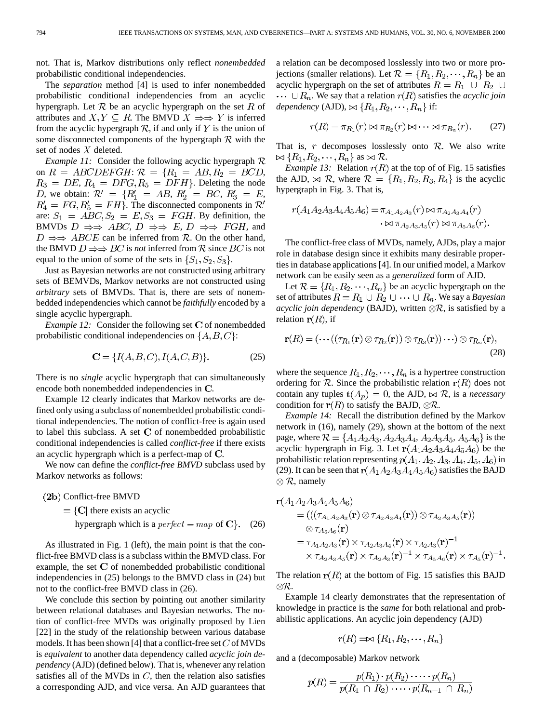not. That is, Markov distributions only reflect *nonembedded* probabilistic conditional independencies.

The *separation* method [4] is used to infer nonembedded probabilistic conditional independencies from an acyclic hypergraph. Let  $R$  be an acyclic hypergraph on the set R of attributes and  $X, Y \subseteq R$ . The BMVD  $X \Rightarrow Y$  is inferred from the acyclic hypergraph  $R$ , if and only if Y is the union of some disconnected components of the hypergraph  $R$  with the set of nodes  $X$  deleted.

*Example 11:* Consider the following acyclic hypergraph  $\mathcal{R}$ on  $R = ABCDEFGH$ :  $\mathcal{R} = \{R_1 = AB, R_2 = BCD,$  $R_3 = DE$ ,  $R_4 = DFG$ ,  $R_5 = DFH$ . Deleting the node *D*, we obtain:  $\mathcal{R}' = \{R'_1 = AB, R'_2 = BC, R'_3 = E, R'_4 = B, R'_5 = BC, R'_6 = E, R'_7 = E, R'_8 = E, R'_9 = E, R'_9 = E, R'_1 = E, R'_1 = E, R'_2 = E, R'_3 = E, R'_4 = E, R'_4 = E, R'_5 = E, R'_6 = E, R'_7 = E, R'_8 = E, R'_9 = E, R'_1 = E, R'_1 = E, R'_2 = E, R'_4 = E, R'_4 = E, R'_5 = E, R'_6 = E, R'_7 = E, R'_8 = E, R'_9 = E, R'_8 = E, R'_9$  $R'_4 = FG, R'_5 = FH$ . The disconnected components in  $\mathcal{R}'$ are:  $S_1 = ABC$ ,  $S_2 = E$ ,  $S_3 = FGH$ . By definition, the BMVDs  $D \Rightarrow ABC$ ,  $D \Rightarrow E$ ,  $D \Rightarrow FGH$ , and  $D \implies ABCE$  can be inferred from R. On the other hand, the BMVD  $D \Rightarrow BC$  is *not* inferred from R since  $BC$  is not equal to the union of some of the sets in  $\{S_1, S_2, S_3\}$ .

Just as Bayesian networks are not constructed using arbitrary sets of BEMVDs, Markov networks are not constructed using *arbitrary* sets of BMVDs. That is, there are sets of nonembedded independencies which cannot be *faithfully* encoded by a single acyclic hypergraph.

*Example 12:* Consider the following set  $C$  of nonembedded probabilistic conditional independencies on  $\{A, B, C\}$ :

$$
C = \{I(A, B, C), I(A, C, B)\}.
$$
 (25)

There is no *single* acyclic hypergraph that can simultaneously encode both nonembedded independencies in C.

Example 12 clearly indicates that Markov networks are defined only using a subclass of nonembedded probabilistic conditional independencies. The notion of conflict-free is again used to label this subclass. A set  $C$  of nonembedded probabilistic conditional independencies is called *conflict-free* if there exists an acyclic hypergraph which is a perfect-map of  $C$ .

We now can define the *conflict-free BMVD* subclass used by Markov networks as follows:

- (2b) Conflict-free BMVD
	- $=$  {C| there exists an acyclic
		- hypergraph which is a perfect map of  $\mathbf{C}$ . (26)

As illustrated in Fig. 1 (left), the main point is that the conflict-free BMVD class is a subclass within the BMVD class. For example, the set  $C$  of nonembedded probabilistic conditional independencies in (25) belongs to the BMVD class in (24) but not to the conflict-free BMVD class in (26).

We conclude this section by pointing out another similarity between relational databases and Bayesian networks. The notion of conflict-free MVDs was originally proposed by Lien [22] in the study of the relationship between various database models. It has been shown [4] that a conflict-free set  $C$  of MVDs is *equivalent* to another data dependency called *acyclic join dependency* (AJD) (defined below). That is, whenever any relation satisfies all of the MVDs in  $C$ , then the relation also satisfies a corresponding AJD, and vice versa. An AJD guarantees that a relation can be decomposed losslessly into two or more projections (smaller relations). Let  $\mathcal{R} = \{R_1, R_2, \dots, R_n\}$  be an acyclic hypergraph on the set of attributes  $R = R_1 \cup R_2 \cup$  $\cdots \cup R_n$ . We say that a relation  $r(R)$  satisfies the *acyclic join dependency* (AJD),  $\bowtie$   $\{R_1, R_2, \cdots, R_n\}$  if:

$$
r(R) = \pi_{R_1}(r) \bowtie \pi_{R_2}(r) \bowtie \cdots \bowtie \pi_{R_n}(r).
$$
 (27)

That is,  $r$  decomposes losslessly onto  $R$ . We also write  $\bowtie$  {R<sub>1</sub>, R<sub>2</sub>, ..., R<sub>n</sub>} as  $\bowtie$  R.

*Example 13:* Relation  $r(R)$  at the top of of Fig. 15 satisfies the AJD,  $\bowtie$  R, where  $\mathcal{R} = \{R_1, R_2, R_3, R_4\}$  is the acyclic hypergraph in Fig. 3. That is,

$$
r(A_1A_2A_3A_4A_5A_6) = \pi_{A_1A_2A_3}(r) \bowtie \pi_{A_2A_3A_4}(r)
$$

$$
\cdot \bowtie \pi_{A_2A_3A_5}(r) \bowtie \pi_{A_5A_6}(r).
$$

The conflict-free class of MVDs, namely, AJDs, play a major role in database design since it exhibits many desirable properties in database applications [4]. In our unified model, a Markov network can be easily seen as a *generalized* form of AJD.

Let  $\mathcal{R} = \{R_1, R_2, \dots, R_n\}$  be an acyclic hypergraph on the set of attributes  $R = R_1 \cup R_2 \cup \cdots \cup R_n$ . We say a *Bayesian acyclic join dependency* (BAJD), written  $\otimes \mathcal{R}$ , is satisfied by a relation  $r(R)$ , if

$$
\mathbf{r}(R) = (\cdots((\tau_{R_1}(\mathbf{r}) \otimes \tau_{R_2}(\mathbf{r})) \otimes \tau_{R_3}(\mathbf{r})) \cdots) \otimes \tau_{R_n}(\mathbf{r}),
$$
\n(28)

where the sequence  $R_1, R_2, \cdots, R_n$  is a hypertree construction ordering for  $\mathcal R$ . Since the probabilistic relation  $r(R)$  does not contain any tuples  $t(A_p) = 0$ , the AJD,  $\bowtie$  R, is a *necessary* condition for  $r(R)$  to satisfy the BAJD,  $\otimes \mathcal{R}$ .

*Example 14:* Recall the distribution defined by the Markov network in (16), namely (29), shown at the bottom of the next page, where  $\mathcal{R} = \{A_1A_2A_3, A_2A_3A_4, A_2A_3A_5, A_5A_6\}$  is the acyclic hypergraph in Fig. 3. Let  $r(A_1A_2A_3A_4A_5A_6)$  be the probabilistic relation representing  $p(A_1, A_2, A_3, A_4, A_5, A_6)$  in (29). It can be seen that  $r(A_1A_2A_3A_4A_5A_6)$  satisfies the BAJD  $\otimes \mathcal{R}$ , namely

$$
\mathbf{r}(A_1 A_2 A_3 A_4 A_5 A_6)
$$
\n
$$
= (((\tau_{A_1 A_2 A_3}(\mathbf{r}) \otimes \tau_{A_2 A_3 A_4}(\mathbf{r})) \otimes \tau_{A_2 A_3 A_5}(\mathbf{r}))
$$
\n
$$
\otimes \tau_{A_5 A_6}(\mathbf{r})
$$
\n
$$
= \tau_{A_1 A_2 A_3}(\mathbf{r}) \times \tau_{A_2 A_3 A_4}(\mathbf{r}) \times \tau_{A_2 A_3}(\mathbf{r})^{-1}
$$
\n
$$
\times \tau_{A_2 A_3 A_5}(\mathbf{r}) \times \tau_{A_2 A_3}(\mathbf{r})^{-1} \times \tau_{A_5 A_6}(\mathbf{r}) \times \tau_{A_5}(\mathbf{r})^{-1}
$$

The relation  $r(R)$  at the bottom of Fig. 15 satisfies this BAJD  $\otimes \mathcal{R}$ .

Example 14 clearly demonstrates that the representation of knowledge in practice is the *same* for both relational and probabilistic applications. An acyclic join dependency (AJD)

$$
r(R) = \bowtie \{R_1, R_2, \cdots, R_n\}
$$

and a (decomposable) Markov network

$$
p(R) = \frac{p(R_1) \cdot p(R_2) \cdot \dots \cdot p(R_n)}{p(R_1 \cap R_2) \cdot \dots \cdot p(R_{n-1} \cap R_n)}
$$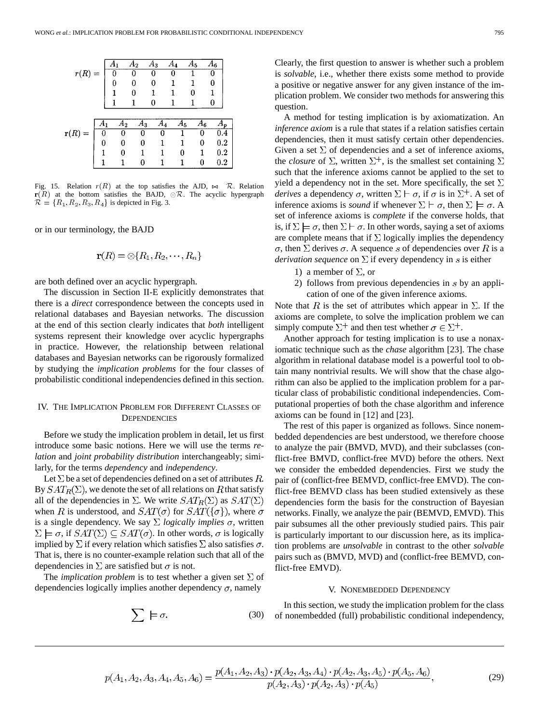

Fig. 15. Relation  $r(R)$  at the top satisfies the AJD,  $\bowtie$  R. Relation  $r(R)$  at the bottom satisfies the BAJD,  $\otimes \mathcal{R}$ . The acyclic hypergraph  $\mathcal{R} = \{R_1, R_2, R_3, R_4\}$  is depicted in Fig. 3.

or in our terminology, the BAJD

$$
\mathbf{r}(R) = \otimes \{R_1, R_2, \cdots, R_n\}
$$

are both defined over an acyclic hypergraph.

The discussion in Section II-E explicitly demonstrates that there is a *direct* correspondence between the concepts used in relational databases and Bayesian networks. The discussion at the end of this section clearly indicates that *both* intelligent systems represent their knowledge over acyclic hypergraphs in practice. However, the relationship between relational databases and Bayesian networks can be rigorously formalized by studying the *implication problems* for the four classes of probabilistic conditional independencies defined in this section.

# IV. THE IMPLICATION PROBLEM FOR DIFFERENT CLASSES OF **DEPENDENCIES**

Before we study the implication problem in detail, let us first introduce some basic notions. Here we will use the terms *relation* and *joint probability distribution* interchangeably; similarly, for the terms *dependency* and *independency*.

Let  $\Sigma$  be a set of dependencies defined on a set of attributes R. By  $SAT_R(\Sigma)$ , we denote the set of all relations on R that satisfy all of the dependencies in  $\Sigma$ . We write  $SAT_R(\Sigma)$  as  $SAT(\Sigma)$ when R is understood, and  $SAT(\sigma)$  for  $SAT({\sigma})$ , where  $\sigma$ is a single dependency. We say  $\Sigma$  *logically implies*  $\sigma$ , written  $\Sigma \models \sigma$ , if  $SAT(\Sigma) \subseteq SAT(\sigma)$ . In other words,  $\sigma$  is logically implied by  $\Sigma$  if every relation which satisfies  $\Sigma$  also satisfies  $\sigma$ . That is, there is no counter-example relation such that all of the dependencies in  $\Sigma$  are satisfied but  $\sigma$  is not.

The *implication problem* is to test whether a given set  $\Sigma$  of dependencies logically implies another dependency  $\sigma$ , namely

 $\sum \models \sigma$ .

Clearly, the first question to answer is whether such a problem is *solvable*, i.e., whether there exists some method to provide a positive or negative answer for any given instance of the implication problem. We consider two methods for answering this question.

A method for testing implication is by axiomatization. An *inference axiom* is a rule that states if a relation satisfies certain dependencies, then it must satisfy certain other dependencies. Given a set  $\Sigma$  of dependencies and a set of inference axioms, the *closure* of  $\Sigma$ , written  $\Sigma^{+}$ , is the smallest set containing  $\Sigma$ such that the inference axioms cannot be applied to the set to yield a dependency not in the set. More specifically, the set  $\Sigma$ *derives* a dependency  $\sigma$ , written  $\Sigma \vdash \sigma$ , if  $\sigma$  is in  $\Sigma^{+}$ . A set of inference axioms is *sound* if whenever  $\Sigma \vdash \sigma$ , then  $\Sigma \models \sigma$ . A set of inference axioms is *complete* if the converse holds, that is, if  $\Sigma \models \sigma$ , then  $\Sigma \vdash \sigma$ . In other words, saying a set of axioms are complete means that if  $\Sigma$  logically implies the dependency  $\sigma$ , then  $\Sigma$  derives  $\sigma$ . A sequence s of dependencies over R is a *derivation sequence* on  $\Sigma$  if every dependency in s is either

- 1) a member of  $\Sigma$ , or
- 2) follows from previous dependencies in  $s$  by an application of one of the given inference axioms.

Note that R is the set of attributes which appear in  $\Sigma$ . If the axioms are complete, to solve the implication problem we can simply compute  $\Sigma^+$  and then test whether  $\sigma \in \Sigma^+$ .

Another approach for testing implication is to use a nonaxiomatic technique such as the *chase* algorithm [23]. The chase algorithm in relational database model is a powerful tool to obtain many nontrivial results. We will show that the chase algorithm can also be applied to the implication problem for a particular class of probabilistic conditional independencies. Computational properties of both the chase algorithm and inference axioms can be found in [12] and [23].

The rest of this paper is organized as follows. Since nonembedded dependencies are best understood, we therefore choose to analyze the pair (BMVD, MVD), and their subclasses (conflict-free BMVD, conflict-free MVD) before the others. Next we consider the embedded dependencies. First we study the pair of (conflict-free BEMVD, conflict-free EMVD). The conflict-free BEMVD class has been studied extensively as these dependencies form the basis for the construction of Bayesian networks. Finally, we analyze the pair (BEMVD, EMVD). This pair subsumes all the other previously studied pairs. This pair is particularly important to our discussion here, as its implication problems are *unsolvable* in contrast to the other *solvable* pairs such as (BMVD, MVD) and (conflict-free BEMVD, conflict-free EMVD).

#### V. NONEMBEDDED DEPENDENCY

In this section, we study the implication problem for the class of nonembedded (full) probabilistic conditional independency,

$$
p(A_1, A_2, A_3, A_4, A_5, A_6) = \frac{p(A_1, A_2, A_3) \cdot p(A_2, A_3, A_4) \cdot p(A_2, A_3, A_5) \cdot p(A_5, A_6)}{p(A_2, A_3) \cdot p(A_2, A_3) \cdot p(A_5)},
$$
\n(29)

(30)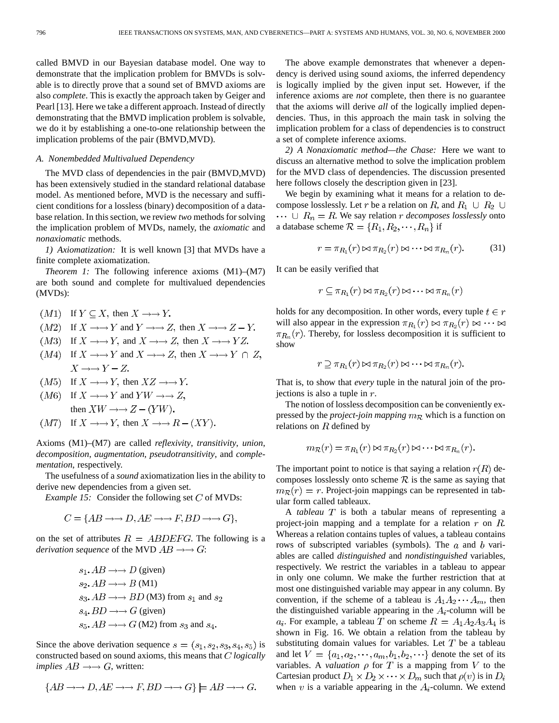called BMVD in our Bayesian database model. One way to demonstrate that the implication problem for BMVDs is solvable is to directly prove that a sound set of BMVD axioms are also *complete*. This is exactly the approach taken by Geiger and Pearl [13]. Here we take a different approach. Instead of directly demonstrating that the BMVD implication problem is solvable, we do it by establishing a one-to-one relationship between the implication problems of the pair (BMVD,MVD).

#### *A. Nonembedded Multivalued Dependency*

The MVD class of dependencies in the pair (BMVD,MVD) has been extensively studied in the standard relational database model. As mentioned before, MVD is the necessary and sufficient conditions for a lossless (binary) decomposition of a database relation. In this section, we review *two* methods for solving the implication problem of MVDs, namely, the *axiomatic* and *nonaxiomatic* methods.

*1) Axiomatization:* It is well known [3] that MVDs have a finite complete axiomatization.

*Theorem 1:* The following inference axioms  $(M1)–(M7)$ are both sound and complete for multivalued dependencies (MVDs):

- $(M1)$  If  $Y \subseteq X$ , then  $X \longrightarrow Y$ .
- $(M2)$  If  $X \rightarrow Y$  and  $Y \rightarrow Z$ , then  $X \rightarrow Z Y$ .
- $(M3)$  If  $X \rightarrow Y$ , and  $X \rightarrow Z$ , then  $X \rightarrow YZ$ .
- $(M4)$  If  $X \rightarrow Y$  and  $X \rightarrow Z$ , then  $X \rightarrow Y \cap Z$ ,  $X \rightarrow Y - Z$ .
- $(M5)$  If  $X \rightarrow Y$ , then  $XZ \rightarrow Y$ .
- $(M6)$  If  $X \rightarrow Y$  and  $YW \rightarrow Z$ , then  $XW \rightarrow Z - (YW)$ .
- $(M7)$  If  $X \rightarrow Y$ , then  $X \rightarrow B (XY)$ .

Axioms (M1)–(M7) are called *reflexivity*, *transitivity*, *union*, *decomposition*, *augmentation*, *pseudotransitivity*, and *complementation*, respectively.

The usefulness of a *sound* axiomatization lies in the ability to derive new dependencies from a given set.

*Example 15:* Consider the following set  $C$  of MVDs:

$$
C = \{ AB \rightarrow \rightarrow D, AE \rightarrow \rightarrow F, BD \rightarrow \rightarrow G \},\
$$

on the set of attributes  $R = ABDEFG$ . The following is a *derivation sequence* of the MVD  $AB \rightarrow BC$ :

$$
s_1
$$
.  $AB \rightarrow D$  (given)  
\n $s_2$ .  $AB \rightarrow B$  (M1)  
\n $s_3$ .  $AB \rightarrow B$  (M2) from  $s_1$  and  $s_2$   
\n $s_4$ .  $BD \rightarrow B$  (given)  
\n $s_5$ .  $AB \rightarrow B$  (M2) from  $s_3$  and  $s_4$ .

Since the above derivation sequence  $s = (s_1, s_2, s_3, s_4, s_5)$  is constructed based on sound axioms, this means that *C* logically *implies*  $AB \rightarrow B$  *G*, written:

$$
\{AB \rightarrow \rightarrow D, AE \rightarrow \rightarrow F, BD \rightarrow \rightarrow G\} \models AB \rightarrow \rightarrow G.
$$

The above example demonstrates that whenever a dependency is derived using sound axioms, the inferred dependency is logically implied by the given input set. However, if the inference axioms are *not* complete, then there is no guarantee that the axioms will derive *all* of the logically implied dependencies. Thus, in this approach the main task in solving the implication problem for a class of dependencies is to construct a set of complete inference axioms.

*2) A Nonaxiomatic method—the Chase:* Here we want to discuss an alternative method to solve the implication problem for the MVD class of dependencies. The discussion presented here follows closely the description given in [23].

We begin by examining what it means for a relation to decompose losslessly. Let r be a relation on R, and  $R_1 \cup R_2 \cup$  $\cdots \cup R_n = R$ . We say relation *r* decomposes losslessly onto a database scheme  $\mathcal{R} = \{R_1, R_2, \dots, R_n\}$  if

$$
r = \pi_{R_1}(r) \bowtie \pi_{R_2}(r) \bowtie \dots \bowtie \pi_{R_n}(r). \tag{31}
$$

It can be easily verified that

$$
r \subseteq \pi_{R_1}(r) \bowtie \pi_{R_2}(r) \bowtie \cdots \bowtie \pi_{R_n}(r)
$$

holds for any decomposition. In other words, every tuple  $t \in r$ will also appear in the expression  $\pi_{R_1}(r) \bowtie \pi_{R_2}(r) \bowtie \cdots \bowtie$  $\pi_{R_n}(r)$ . Thereby, for lossless decomposition it is sufficient to show

$$
r \supseteq \pi_{R_1}(r) \bowtie \pi_{R_2}(r) \bowtie \cdots \bowtie \pi_{R_n}(r).
$$

That is, to show that *every* tuple in the natural join of the projections is also a tuple in  $r$ .

The notion of lossless decomposition can be conveniently expressed by the *project-join mapping* which is a function on relations on  $R$  defined by

$$
m_{\mathcal{R}}(r) = \pi_{R_1}(r) \bowtie \pi_{R_2}(r) \bowtie \cdots \bowtie \pi_{R_n}(r).
$$

The important point to notice is that saying a relation  $r(R)$  decomposes losslessly onto scheme  $\mathcal R$  is the same as saying that  $m_{\mathcal{R}}(r) = r$ . Project-join mappings can be represented in tabular form called tableaux.

A *tableau*  $T$  is both a tabular means of representing a project-join mapping and a template for a relation  $r$  on  $R$ . Whereas a relation contains tuples of values, a tableau contains rows of subscripted variables (symbols). The  $a$  and  $b$  variables are called *distinguished* and *nondistinguished* variables, respectively. We restrict the variables in a tableau to appear in only one column. We make the further restriction that at most one distinguished variable may appear in any column. By convention, if the scheme of a tableau is  $A_1 A_2 \cdots A_m$ , then the distinguished variable appearing in the  $A_i$ -column will be  $a_i$ . For example, a tableau T on scheme  $R = A_1 A_2 A_3 A_4$  is shown in Fig. 16. We obtain a relation from the tableau by substituting domain values for variables. Let  $T$  be a tableau and let  $V = \{a_1, a_2, \dots, a_m, b_1, b_2, \dots\}$  denote the set of its variables. A *valuation*  $\rho$  for  $T$  is a mapping from  $V$  to the Cartesian product  $D_1 \times D_2 \times \cdots \times D_m$  such that  $\rho(v)$  is in  $D_i$ when v is a variable appearing in the  $A_i$ -column. We extend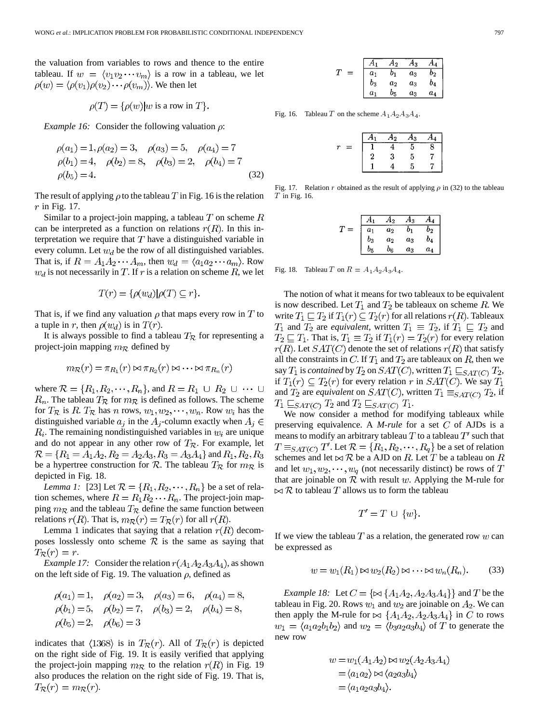the valuation from variables to rows and thence to the entire tableau. If  $w = \langle v_1 v_2 \cdots v_m \rangle$  is a row in a tableau, we let  $\rho(w) = \langle \rho(v_1) \rho(v_2) \cdots \rho(v_m) \rangle$ . We then let

$$
\rho(T) = {\rho(w)}|w \text{ is a row in } T\}.
$$

*Example 16:* Consider the following valuation  $\rho$ :

$$
\rho(a_1) = 1, \rho(a_2) = 3, \quad \rho(a_3) = 5, \quad \rho(a_4) = 7
$$
  
\n
$$
\rho(b_1) = 4, \quad \rho(b_2) = 8, \quad \rho(b_3) = 2, \quad \rho(b_4) = 7
$$
  
\n
$$
\rho(b_5) = 4.
$$
\n(32)

The result of applying  $\rho$  to the tableau T in Fig. 16 is the relation  $r$  in Fig. 17.

Similar to a project-join mapping, a tableau  $T$  on scheme  $R$ can be interpreted as a function on relations  $r(R)$ . In this interpretation we require that  $T$  have a distinguished variable in every column. Let  $w_d$  be the row of all distinguished variables. That is, if  $R = A_1 A_2 \cdots A_m$ , then  $w_d = \langle a_1 a_2 \cdots a_m \rangle$ . Row  $w_d$  is not necessarily in T. If r is a relation on scheme R, we let

$$
T(r) = {\rho(w_d) | \rho(T) \subseteq r}.
$$

That is, if we find any valuation  $\rho$  that maps every row in T to a tuple in r, then  $\rho(w_d)$  is in  $T(r)$ .

It is always possible to find a tableau  $T_{\mathcal{R}}$  for representing a project-join mapping  $m_R$  defined by

$$
m_{\mathcal{R}}(r) = \pi_{R_1}(r) \bowtie \pi_{R_2}(r) \bowtie \cdots \bowtie \pi_{R_n}(r)
$$

where  $\mathcal{R} = \{R_1, R_2, \dots, R_n\}$ , and  $R = R_1 \cup R_2 \cup \dots \cup$  $R_n$ . The tableau  $T_{\mathcal{R}}$  for  $m_{\mathcal{R}}$  is defined as follows. The scheme for  $T_{\mathcal{R}}$  is R.  $T_{\mathcal{R}}$  has n rows,  $w_1, w_2, \dots, w_n$ . Row  $w_i$  has the distinguished variable  $a_j$  in the  $A_j$ -column exactly when  $A_j \in$  $R_i$ . The remaining nondistinguished variables in  $w_i$  are unique and do not appear in any other row of  $T_{\mathcal{R}}$ . For example, let  $R = \{R_1 = A_1A_2, R_2 = A_2A_3, R_3 = A_3A_4\}$  and  $R_1, R_2, R_3$ be a hypertree construction for  $\mathcal{R}$ . The tableau  $T_{\mathcal{R}}$  for  $m_{\mathcal{R}}$  is depicted in Fig. 18.

*Lemma 1:* [23] Let  $\mathcal{R} = \{R_1, R_2, \dots, R_n\}$  be a set of relation schemes, where  $R = R_1 R_2 \cdots R_n$ . The project-join mapping  $m_R$  and the tableau  $T_R$  define the same function between relations  $r(R)$ . That is,  $m_{\mathcal{R}}(r) = T_{\mathcal{R}}(r)$  for all  $r(R)$ .

Lemma 1 indicates that saying that a relation  $r(R)$  decomposes losslessly onto scheme  $\mathcal R$  is the same as saying that  $T_{\mathcal{R}}(r)=r.$ 

*Example 17:* Consider the relation  $r(A_1A_2A_3A_4)$ , as shown on the left side of Fig. 19. The valuation  $\rho$ , defined as

$$
\rho(a_1) = 1, \quad \rho(a_2) = 3, \quad \rho(a_3) = 6, \quad \rho(a_4) = 8
$$
  
\n $\rho(b_1) = 5, \quad \rho(b_2) = 7, \quad \rho(b_3) = 2, \quad \rho(b_4) = 8,$   
\n $\rho(b_5) = 2, \quad \rho(b_6) = 3$ 

indicates that  $\langle 1368 \rangle$  is in  $T_{\mathcal{R}}(r)$ . All of  $T_{\mathcal{R}}(r)$  is depicted on the right side of Fig. 19. It is easily verified that applying the project-join mapping  $m_{\mathcal{R}}$  to the relation  $r(R)$  in Fig. 19 also produces the relation on the right side of Fig. 19. That is,  $T_{\mathcal{R}}(r) = m_{\mathcal{R}}(r).$ 

|       | 42      | Αз    | ٩4.   |
|-------|---------|-------|-------|
| $a_1$ | 01      | $a_3$ | 02    |
| $b_3$ | $a_2$   | $a_3$ | $b_4$ |
| $a_1$ | $b_{5}$ | $a_3$ | $a_4$ |

Fig. 16. Tableau T on the scheme  $A_1 A_2 A_3 A_4$ .

|                                                                                                                                                                                                                                |   | $-12$ | Я3 | 14 |
|--------------------------------------------------------------------------------------------------------------------------------------------------------------------------------------------------------------------------------|---|-------|----|----|
| mana ang digital diarang digital digital digital digital digital digital digital digital digital digital digital digital digital digital digital digital digital digital digital digital digital digital digital digital digit |   |       | n  |    |
|                                                                                                                                                                                                                                | 2 | 3     | 5  |    |
|                                                                                                                                                                                                                                |   |       | ۳  |    |

Fig. 17. Relation r obtained as the result of applying  $\rho$  in (32) to the tableau  $T$  in Fig. 16.

|          | 12      | 43    | 44 |
|----------|---------|-------|----|
| $a_1$    | $a_2$   | 01    | 02 |
| $_{b_3}$ | $a_2$   | $a_3$ | b4 |
| 05       | $b_{6}$ | $a_3$ | а4 |

Fig. 18. Tableau T on  $R = A_1 A_2 A_3 A_4$ .

The notion of what it means for two tableaux to be equivalent is now described. Let  $T_1$  and  $T_2$  be tableaux on scheme R. We write  $T_1 \sqsubseteq T_2$  if  $T_1(r) \subseteq T_2(r)$  for all relations  $r(R)$ . Tableaux  $T_1$  and  $T_2$  are *equivalent*, written  $T_1 \equiv T_2$ , if  $T_1 \sqsubseteq T_2$  and  $T_2 \sqsubseteq T_1$ . That is,  $T_1 \equiv T_2$  if  $T_1(r) = T_2(r)$  for every relation  $r(R)$ . Let  $SAT(C)$  denote the set of relations  $r(R)$  that satisfy all the constraints in C. If  $T_1$  and  $T_2$  are tableaux on R, then we say  $T_1$  is *contained* by  $T_2$  on  $SAT(C)$ , written  $T_1 \sqsubseteq_{SAT(C)} T_2$ , if  $T_1(r) \subseteq T_2(r)$  for every relation r in  $SAT(C)$ . We say  $T_1$ and  $T_2$  are *equivalent* on  $SAT(C)$ , written  $T_1 \equiv_{SAT(C)} T_2$ , if  $T_1 \sqsubseteq_{SAT(C)} T_2$  and  $T_2 \sqsubseteq_{SAT(C)} T_1$ .

We now consider a method for modifying tableaux while preserving equivalence. A  $M$ -rule for a set  $C$  of AJDs is a means to modify an arbitrary tableau T to a tableau  $T'$  such that  $T \equiv_{SAT(C)} T'$ . Let  $\mathcal{R} = \{R_1, R_2, \cdots, R_q\}$  be a set of relation schemes and let  $\bowtie$  R be a AJD on R. Let T be a tableau on R and let  $w_1, w_2, \dots, w_q$  (not necessarily distinct) be rows of T that are joinable on  $R$  with result  $w$ . Applying the M-rule for  $\bowtie$  R to tableau T allows us to form the tableau

$$
T'=T\,\cup\,\{w\}.
$$

If we view the tableau  $T$  as a relation, the generated row  $w$  can be expressed as

$$
w = w_1(R_1) \bowtie w_2(R_2) \bowtie \dots \bowtie w_n(R_n). \tag{33}
$$

*Example 18:* Let  $C = \{ \bowtie \{A_1A_2, A_2A_3A_4\} \}$  and T be the tableau in Fig. 20. Rows  $w_1$  and  $w_2$  are joinable on  $A_2$ . We can then apply the M-rule for  $\bowtie$   $\{A_1A_2, A_2A_3A_4\}$  in C to rows  $w_1 = \langle a_1 a_2 b_1 b_2 \rangle$  and  $w_2 = \langle b_3 a_2 a_3 b_4 \rangle$  of T to generate the new row

$$
w = w_1(A_1A_2) \bowtie w_2(A_2A_3A_4)
$$
  
=  $\langle a_1a_2 \rangle \bowtie \langle a_2a_3b_4 \rangle$   
=  $\langle a_1a_2a_3b_4 \rangle$ .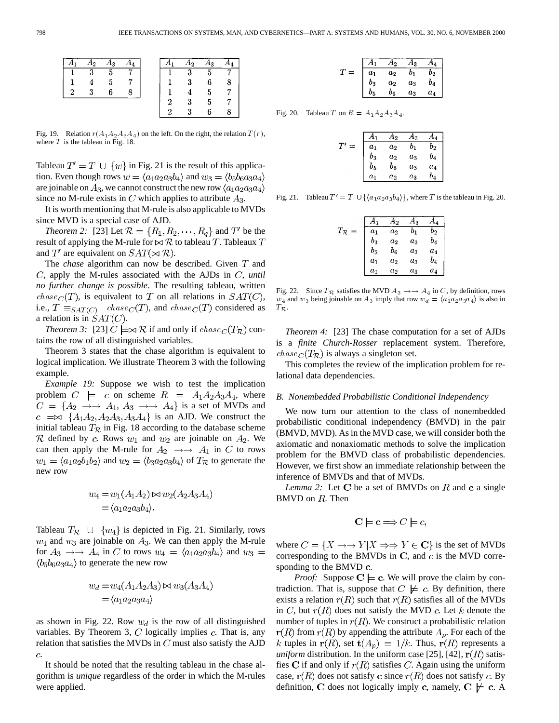| A۰                        | $A_3$ |   | A2<br>Aı.               | A3             |  |
|---------------------------|-------|---|-------------------------|----------------|--|
| $\overline{\phantom{a}3}$ | 5     |   | $\overline{\mathbf{3}}$ | $\overline{5}$ |  |
|                           |       |   |                         |                |  |
| $\mathbf{Q}$              |       |   |                         |                |  |
|                           |       | ç |                         |                |  |
|                           |       |   |                         |                |  |

Fig. 19. Relation  $r(A_1 A_2 A_3 A_4)$  on the left. On the right, the relation  $T(r)$ , where  $T$  is the tableau in Fig. 18.

Tableau  $T' = T \cup \{w\}$  in Fig. 21 is the result of this application. Even though rows  $w = \langle a_1 a_2 a_3 b_4 \rangle$  and  $w_3 = \langle b_5 b_6 a_3 a_4 \rangle$ are joinable on  $A_3$ , we cannot construct the new row  $\langle a_1 a_2 a_3 a_4 \rangle$ since no M-rule exists in C which applies to attribute  $A_3$ .

It is worth mentioning that M-rule is also applicable to MVDs since MVD is a special case of AJD.

*Theorem 2:* [23] Let  $\mathcal{R} = \{R_1, R_2, \dots, R_q\}$  and  $T'$  be the result of applying the M-rule for  $\bowtie$  R to tableau T. Tableaux T and  $T'$  are equivalent on  $SAT(\bowtie R)$ .

The *chase* algorithm can now be described. Given  $T$  and  $C$ , apply the M-rules associated with the AJDs in  $C$ , *until no further change is possible*. The resulting tableau, written *chase*  $_C(T)$ , is equivalent to T on all relations in  $SAT(C)$ , i.e., chase , and chase considered as a relation is in  $SAT(C)$ .

*Theorem 3:* [23]  $C \models \Join \mathcal{R}$  if and only if  $chase \text{ }_C(T_{\mathcal{R}})$  contains the row of all distinguished variables.

Theorem 3 states that the chase algorithm is equivalent to logical implication. We illustrate Theorem 3 with the following example.

*Example 19:* Suppose we wish to test the implication problem  $C \models c$  on scheme  $R = A_1A_2A_3A_4$ , where  $C = \{A_2 \rightarrow A_1, A_3 \rightarrow A_4\}$  is a set of MVDs and  $c \implies \{A_1A_2, A_2A_3, A_3A_4\}$  is an AJD. We construct the initial tableau  $T_{\mathcal{R}}$  in Fig. 18 according to the database scheme  $\mathcal R$  defined by c. Rows  $w_1$  and  $w_2$  are joinable on  $A_2$ . We can then apply the M-rule for  $A_2 \rightarrow A_1$  in C to rows  $w_1 = \langle a_1 a_2 b_1 b_2 \rangle$  and  $w_2 = \langle b_3 a_2 a_3 b_4 \rangle$  of  $T_{\mathcal{R}}$  to generate the new row

$$
w_4 = w_1(A_1A_2) \bowtie w_2(A_2A_3A_4)
$$
  
=  $\langle a_1a_2a_3b_4 \rangle$ .

Tableau  $T_{\mathcal{R}} \cup \{w_4\}$  is depicted in Fig. 21. Similarly, rows  $w_4$  and  $w_3$  are joinable on  $A_3$ . We can then apply the M-rule for  $A_3 \rightarrow A_4$  in C to rows  $w_4 = \langle a_1 a_2 a_3 b_4 \rangle$  and  $w_3 =$  $\langle b_5b_6a_3a_4 \rangle$  to generate the new row

$$
w_d = w_4(A_1A_2A_3) \bowtie w_3(A_3A_4)
$$
  
=  $\langle a_1a_2a_3a_4 \rangle$ 

as shown in Fig. 22. Row  $w_d$  is the row of all distinguished variables. By Theorem 3,  $C$  logically implies  $c$ . That is, any relation that satisfies the MVDs in  $C$  must also satisfy the AJD  $\overline{c}$ .

It should be noted that the resulting tableau in the chase algorithm is *unique* regardless of the order in which the M-rules were applied.

|          | 42    | Αз                 |         |
|----------|-------|--------------------|---------|
| $a_1$    | $a_2$ | 01                 | 02      |
| $_{b_3}$ | $a_2$ | $a_3$              | $b_4$   |
| D5       | 96    | $\scriptstyle a_3$ | $a_{4}$ |

Fig. 20. Tableau T on  $R = A_1 A_2 A_3 A_4$ .

|                    | 12    | -3      |                |
|--------------------|-------|---------|----------------|
| $\boldsymbol{a}_1$ | $a_2$ |         | 02             |
| $b_{3}$            | $a_2$ | $a_3\,$ | b <sub>4</sub> |
| b5                 | $b_6$ | $a_3$   | $a_4$          |
| $a_1$              | $a_2$ | $a_3$   | bл             |

Fig. 21. Tableau  $T' = T \cup \{ \langle a_1 a_2 a_3 b_4 \rangle \}$ , where T is the tableau in Fig. 20.

|                        |                | $\cdot$        | ⁄13            | A              |
|------------------------|----------------|----------------|----------------|----------------|
| $T_{\mathcal{R}}$<br>= | a <sub>1</sub> | $a_2$          | b <sub>1</sub> | b <sub>2</sub> |
|                        | $b_3$          | $a_2$          | $a_3$          | $b_4$          |
|                        | $_{b_5}$       | $b_6$          | $a_3$          | $a_4$          |
|                        | a <sub>1</sub> | $a_2$          | $a_3$          | $b_4$          |
|                        | $a_1$          | a <sub>2</sub> | $a_3$          | $a_4$          |

Fig. 22. Since  $T_{\mathcal{R}}$  satisfies the MVD  $A_3 \rightarrow A_4$  in C, by definition, rows  $w_4$  and  $w_3$  being joinable on  $A_3$  imply that row  $w_d = \langle a_1 a_2 a_3 a_4 \rangle$  is also in  $T_{\mathcal{R}}$ .

*Theorem 4:* [23] The chase computation for a set of AJDs is a *finite Church-Rosser* replacement system. Therefore,  $chase_C(T_{\mathcal{R}})$  is always a singleton set.

This completes the review of the implication problem for relational data dependencies.

#### *B. Nonembedded Probabilistic Conditional Independency*

We now turn our attention to the class of nonembedded probabilistic conditional independency (BMVD) in the pair (BMVD, MVD). As in the MVD case, we will consider both the axiomatic and nonaxiomatic methods to solve the implication problem for the BMVD class of probabilistic dependencies. However, we first show an immediate relationship between the inference of BMVDs and that of MVDs.

*Lemma 2:* Let  $C$  be a set of BMVDs on  $R$  and  $c$  a single BMVD on  $R$ . Then

$$
C \models c \Longrightarrow C \models c,
$$

where  $C = \{X \rightarrow Y | X \Rightarrow Y \in \mathbf{C}\}\$ is the set of MVDs corresponding to the BMVDs in  $C$ , and  $c$  is the MVD corresponding to the BMVD  $c$ .

*Proof:* Suppose  $C \models c$ . We will prove the claim by contradiction. That is, suppose that  $C \not\models c$ . By definition, there exists a relation  $r(R)$  such that  $r(R)$  satisfies all of the MVDs in C, but  $r(R)$  does not satisfy the MVD c. Let k denote the number of tuples in  $r(R)$ . We construct a probabilistic relation  $r(R)$  from  $r(R)$  by appending the attribute  $A_p$ . For each of the k tuples in  $r(R)$ , set  $t(A_p) = 1/k$ . Thus,  $r(R)$  represents a *uniform* distribution. In the uniform case [25], [42],  $r(R)$  satisfies C if and only if  $r(R)$  satisfies C. Again using the uniform case,  $r(R)$  does not satisfy c since  $r(R)$  does not satisfy c. By definition, C does not logically imply c, namely,  $C \not\models c$ . A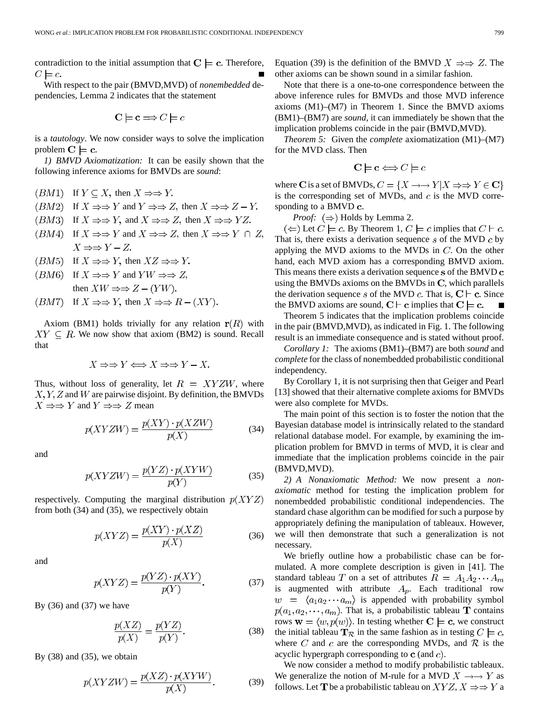contradiction to the initial assumption that  $C \models c$ . Therefore,  $C \models c$ 

With respect to the pair (BMVD,MVD) of *nonembedded* dependencies, Lemma 2 indicates that the statement

$$
C \models c \Longrightarrow C \models c
$$

is a *tautology*. We now consider ways to solve the implication problem  $C \models c$ .

*1) BMVD Axiomatization:* It can be easily shown that the following inference axioms for BMVDs are *sound*:

- (*BM*1) If  $Y \subseteq X$ , then  $X \Rightarrow Y$ .
- $(BM2)$  If  $X \Rightarrow Y$  and  $Y \Rightarrow Z$ , then  $X \Rightarrow Z Y$ .
- $(BM3)$  If  $X \Rightarrow Y$ , and  $X \Rightarrow Z$ , then  $X \Rightarrow YZ$ .
- $(BM4)$  If  $X \Rightarrow Y$  and  $X \Rightarrow Z$ , then  $X \Rightarrow Y \cap Z$ ,  $X \Rightarrow Y - Z$
- $(BM5)$  If  $X \Rightarrow Y$ , then  $XZ \Rightarrow Y$ .
- $(BM6)$  If  $X \Rightarrow Y$  and  $YW \Rightarrow Z$ , then  $XW \Rightarrow Z - (YW)$ .
- (*BMT*) If  $X \Rightarrow Y$ , then  $X \Rightarrow R (XY)$ .

Axiom (BM1) holds trivially for any relation  $r(R)$  with  $XY \subseteq R$ . We now show that axiom (BM2) is sound. Recall that

$$
X \Rightarrow Y \Longleftrightarrow X \Rightarrow Y - X.
$$

Thus, without loss of generality, let  $R = XYZW$ , where  $X, Y, Z$  and W are pairwise disjoint. By definition, the BMVDs  $X \Rightarrow Y$  and  $Y \Rightarrow Z$  mean

$$
p(XYZW) = \frac{p(XY) \cdot p(XZW)}{p(X)}\tag{34}
$$

and

$$
p(XYZW) = \frac{p(YZ) \cdot p(XYW)}{p(Y)}\tag{35}
$$

respectively. Computing the marginal distribution  $p(XYZ)$ from both (34) and (35), we respectively obtain

$$
p(XYZ) = \frac{p(XY) \cdot p(XZ)}{p(X)}
$$
\n(36)

and

$$
p(XYZ) = \frac{p(YZ) \cdot p(XY)}{p(Y)}.\tag{37}
$$

By  $(36)$  and  $(37)$  we have

$$
\frac{p(XZ)}{p(X)} = \frac{p(YZ)}{p(Y)}.\t(38)
$$

By  $(38)$  and  $(35)$ , we obtain

$$
p(XYZW) = \frac{p(XZ) \cdot p(XYW)}{p(X)}.\tag{39}
$$

Equation (39) is the definition of the BMVD  $X \Rightarrow Z$ . The other axioms can be shown sound in a similar fashion.

Note that there is a one-to-one correspondence between the above inference rules for BMVDs and those MVD inference axioms (M1)–(M7) in Theorem 1. Since the BMVD axioms (BM1)–(BM7) are *sound*, it can immediately be shown that the implication problems coincide in the pair (BMVD,MVD).

*Theorem 5:* Given the *complete* axiomatization (M1)–(M7) for the MVD class. Then

$$
\mathbf{C} \models \mathbf{c} \Longleftrightarrow C \models c
$$

where C is a set of BMVDs,  $C = \{X \rightarrow Y | X \Rightarrow Y \in \mathbf{C}\}\$ is the corresponding set of MVDs, and  $c$  is the MVD corresponding to a BMVD c.

*Proof:*  $(\Rightarrow)$  Holds by Lemma 2.

 $(\Leftarrow)$  Let  $C \models c$ . By Theorem 1,  $C \models c$  implies that  $C \models c$ . That is, there exists a derivation sequence  $s$  of the MVD  $c$  by applying the MVD axioms to the MVDs in  $C$ . On the other hand, each MVD axiom has a corresponding BMVD axiom. This means there exists a derivation sequence  $s$  of the BMVD  $c$ using the BMVDs axioms on the BMVDs in  $C$ , which parallels the derivation sequence s of the MVD c. That is,  $C \vdash c$ . Since the BMVD axioms are sound,  $C \vdash c$  implies that  $C \models c$ .

Theorem 5 indicates that the implication problems coincide in the pair (BMVD,MVD), as indicated in Fig. 1. The following result is an immediate consequence and is stated without proof.

*Corollary 1:* The axioms (BM1)–(BM7) are both *sound* and *complete* for the class of nonembedded probabilistic conditional independency.

By Corollary 1, it is not surprising then that Geiger and Pearl [13] showed that their alternative complete axioms for BMVDs were also complete for MVDs.

The main point of this section is to foster the notion that the Bayesian database model is intrinsically related to the standard relational database model. For example, by examining the implication problem for BMVD in terms of MVD, it is clear and immediate that the implication problems coincide in the pair (BMVD,MVD).

*2) A Nonaxiomatic Method:* We now present a *nonaxiomatic* method for testing the implication problem for nonembedded probabilistic conditional independencies. The standard chase algorithm can be modified for such a purpose by appropriately defining the manipulation of tableaux. However, we will then demonstrate that such a generalization is not necessary.

We briefly outline how a probabilistic chase can be formulated. A more complete description is given in [41]. The standard tableau T on a set of attributes  $R = A_1 A_2 \cdots A_m$ is augmented with attribute  $A_p$ . Each traditional row  $w = \langle a_1 a_2 \cdots a_m \rangle$  is appended with probability symbol  $p(a_1, a_2, \dots, a_m)$ . That is, a probabilistic tableau **T** contains rows  $\mathbf{w} = \langle w, p(w) \rangle$ . In testing whether  $\mathbf{C} \models \mathbf{c}$ , we construct the initial tableau  $\mathbf{T}_{\mathcal{R}}$  in the same fashion as in testing  $C \models c$ , where C and c are the corresponding MVDs, and  $\mathcal{R}$  is the acyclic hypergraph corresponding to  $\bf{c}$  (and  $\bf{c}$ ).

We now consider a method to modify probabilistic tableaux. We generalize the notion of M-rule for a MVD  $X \rightarrow Y$  as follows. Let **T** be a probabilistic tableau on  $XYZ, X \Rightarrow Y$  a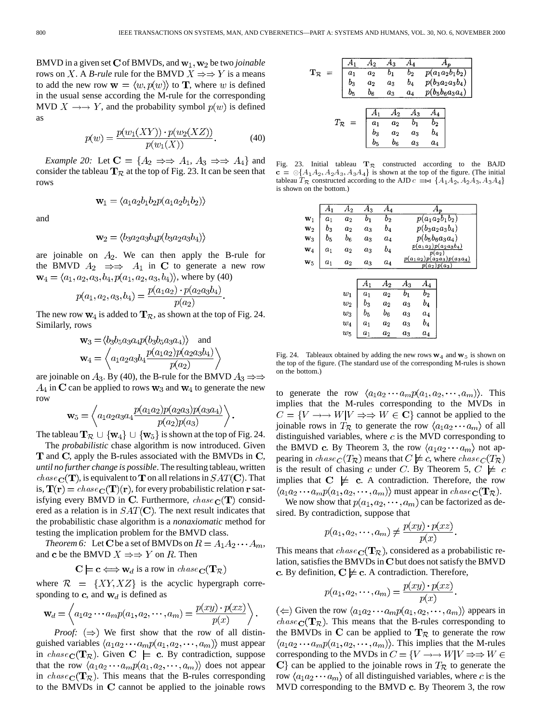BMVD in a given set C of BMVDs, and  $w_1, w_2$  be two *joinable* rows on X. A *B-rule* rule for the BMVD  $X \Rightarrow Y$  is a means to add the new row  $\mathbf{w} = \langle w, p(w) \rangle$  to **T**, where w is defined in the usual sense according the M-rule for the corresponding MVD  $X \rightarrow Y$ , and the probability symbol  $p(w)$  is defined as

$$
p(w) = \frac{p(w_1(XY)) \cdot p(w_2(XZ))}{p(w_1(X))}.
$$
 (40)

*Example 20:* Let  $C = \{A_2 \implies A_1, A_3 \implies A_4\}$  and consider the tableau  $T_{\mathcal{R}}$  at the top of Fig. 23. It can be seen that rows

$$
\mathbf{w}_1 = \langle a_1 a_2 b_1 b_2 p(a_1 a_2 b_1 b_2) \rangle
$$

and

$$
\mathbf{w}_2 = \langle b_3 a_2 a_3 b_4 p (b_3 a_2 a_3 b_4) \rangle
$$

are joinable on  $A_2$ . We can then apply the B-rule for the BMVD  $A_2 \implies A_1$  in C to generate a new row  $\mathbf{w}_4 = \langle a_1, a_2, a_3, b_4, p(a_1, a_2, a_3, b_4) \rangle$ , where by (40)

$$
p(a_1, a_2, a_3, b_4) = \frac{p(a_1a_2) \cdot p(a_2a_3b_4)}{p(a_2)}.
$$

The new row  $w_4$  is added to  $\mathbf{T}_{\mathcal{R}}$ , as shown at the top of Fig. 24. Similarly, rows

$$
\mathbf{w}_3 = \langle b_3 b_5 a_3 a_4 p (b_3 b_5 a_3 a_4) \rangle \quad \text{and} \quad
$$

$$
\mathbf{w}_4 = \left\langle a_1 a_2 a_3 b_4 \frac{p (a_1 a_2) p (a_2 a_3 b_4)}{p (a_2)} \right\rangle
$$

are joinable on  $A_3$ . By (40), the B-rule for the BMVD  $A_3 \Rightarrow$  $A_4$  in C can be applied to rows  $w_3$  and  $w_4$  to generate the new row

$$
\mathbf{w}_5 = \left\langle a_1 a_2 a_3 a_4 \frac{p(a_1 a_2) p(a_2 a_3) p(a_3 a_4)}{p(a_2) p(a_3)} \right\rangle.
$$

The tableau  $\mathbf{T}_{\mathcal{R}} \cup \{w_4\} \cup \{w_5\}$  is shown at the top of Fig. 24.

The *probabilistic* chase algorithm is now introduced. Given  **and**  $**C**$ **, apply the B-rules associated with the BMVDs in**  $**C**$ **,** *until no further change is possible*. The resulting tableau, written  $chase \textbf{C}(\textbf{T})$ , is equivalent to  $\textbf{T}$  on all relations in  $SAT(\textbf{C})$ . That is,  $\mathbf{T}(\mathbf{r}) = \text{chase}_{\mathbf{C}}(\mathbf{T})(\mathbf{r})$ , for every probabilistic relation r satisfying every BMVD in C. Furthermore, chase  $C(T)$  considered as a relation is in  $SAT(\mathbf{C})$ . The next result indicates that the probabilistic chase algorithm is a *nonaxiomatic* method for testing the implication problem for the BMVD class.

*Theorem 6:* Let **C** be a set of BMVDs on  $R = A_1 A_2 \cdots A_m$ , and c be the BMVD  $X \Rightarrow Y$  on R. Then

$$
\mathbf{C} \models \mathbf{c} \Longleftrightarrow \mathbf{w}_d \text{ is a row in } \mathit{chase}_{\mathbf{C}}(\mathbf{T}_{\mathcal{R}})
$$

where  $\mathcal{R} = \{XY, XZ\}$  is the acyclic hypergraph corresponding to c, and  $w_d$  is defined as

$$
\mathbf{w}_d = \left\langle a_1 a_2 \cdots a_m p(a_1, a_2, \cdots, a_m) = \frac{p(xy) \cdot p(xz)}{p(x)} \right\rangle.
$$

*Proof:*  $(\Rightarrow)$  We first show that the row of all distinguished variables  $\langle a_1 a_2 \cdots a_m p(a_1, a_2, \cdots, a_m) \rangle$  must appear in chase  $C(T_{\mathcal{R}})$ . Given  $C \models c$ . By contradiction, suppose that the row  $\langle a_1 a_2 \cdots a_m p(a_1, a_2, \cdots, a_m) \rangle$  does not appear in chase  $c(\mathbf{T}_{\mathcal{R}})$ . This means that the B-rules corresponding to the BMVDs in  $C$  cannot be applied to the joinable rows

|                          |                   |                |                | Α3    |       |       |                              |
|--------------------------|-------------------|----------------|----------------|-------|-------|-------|------------------------------|
| $\mathbf{T}_\mathcal{R}$ |                   | a <sub>1</sub> | a <sub>2</sub> |       | $b_2$ |       | $p(a_1a_2b_1\overline{b_2})$ |
|                          |                   | $b_3$          | $a_2$          | $a_3$ | $b_4$ |       | $p(b_3a_2a_3b_4)$            |
|                          |                   | $b_5$          | $b_6$          | $a_3$ | $a_4$ |       | $p(b_5b_6a_3a_4)$            |
|                          |                   |                |                |       |       |       |                              |
|                          |                   |                |                | 42    | Αз    |       |                              |
|                          | $T_{\mathcal{R}}$ |                | a <sub>1</sub> | $a_2$ |       | b2    |                              |
|                          |                   |                | $b_3$          | $a_2$ | $a_3$ | b4    |                              |
|                          |                   |                | b.             | $b_6$ | $a_3$ | $a_4$ |                              |

Fig. 23. Initial tableau  $T_R$  constructed according to the BAJD c =  $\otimes$ {A<sub>1</sub>A<sub>2</sub>,A<sub>2</sub>A<sub>3</sub>,A<sub>3</sub>A<sub>4</sub>} is shown at the top of the figure. (The initial tableau  $T_R$  constructed according to the AJD  $c = \Join \{A_1 A_2, A_2 A_3, A_3 A_4\}$ is shown on the bottom.)

| $\overline{A}_1$   | $A_2$              | $A_3$          | $A_4$              |       | $A_p$                                           |  |
|--------------------|--------------------|----------------|--------------------|-------|-------------------------------------------------|--|
| $\boldsymbol{a}_1$ | $\boldsymbol{a}_2$ | $_{b_1}$       | $b_2$              |       | $p(a_1a_2b_1b_2)$                               |  |
| $b_3$              | $a_2$              | $a_3$          | $b_4$              |       | $p(b_3a_2a_3b_4)$                               |  |
| $b_{5}$            | $b_6$              | $a_3$          | $a_4$              |       | $p(b_5b_6a_3a_4)$                               |  |
| a <sub>1</sub>     | $\boldsymbol{a}_2$ | $a_3$          | $b_4$              |       | $p(a_1a_2)p(a_2a_3b_4)$<br>$p(a_2)$             |  |
| $\boldsymbol{a}_1$ | $\boldsymbol{a}_2$ | $a_3$          | $\boldsymbol{a_4}$ |       | $p(a_1a_2)p(a_2a_3)p(a_3a_4)$<br>$p(a_2)p(a_3)$ |  |
|                    |                    |                |                    |       |                                                 |  |
|                    |                    | $A_1$          | $A_2$              | $A_3$ | $A_4$                                           |  |
|                    |                    |                |                    |       |                                                 |  |
|                    | $w_1$              | a <sub>1</sub> | a <sub>2</sub>     | $b_1$ | $b_{2}$                                         |  |
|                    | $w_2$              | $b_3$          | $a_2$              | $a_3$ | $b_4$                                           |  |
|                    | $w_3$              | $b_5$          | $b_6$              | $a_3$ | $a_4$                                           |  |
|                    | $w_4$              | $a_1$          | $a_2$              | $a_3$ | $b_4$                                           |  |

Fig. 24. Tableaux obtained by adding the new rows  $w_4$  and  $w_5$  is shown on the top of the figure. (The standard use of the corresponding M-rules is shown on the bottom.)

to generate the row  $\langle a_1 a_2 \cdots a_m p(a_1, a_2, \cdots, a_m) \rangle$ . This implies that the M-rules corresponding to the MVDs in  $C = \{V \rightarrow W | V \Rightarrow W \in \mathbf{C}\}\$  cannot be applied to the joinable rows in  $T_{\mathcal{R}}$  to generate the row  $\langle a_1 a_2 \cdots a_m \rangle$  of all distinguished variables, where  $c$  is the MVD corresponding to the BMVD c. By Theorem 3, the row  $\langle a_1 a_2 \cdots a_m \rangle$  not appearing in  $chase_C(T_{\mathcal{R}})$  means that  $C \not\models c$ , where  $chase_C(T_{\mathcal{R}})$ is the result of chasing c under C. By Theorem 5,  $C \not\models c$ implies that  $C \not\models c$ . A contradiction. Therefore, the row  $\langle a_1 a_2 \cdots a_m p(a_1, a_2, \cdots, a_m) \rangle$  must appear in  $\text{chase}_{\mathbf{C}}(\mathbf{T}_{\mathcal{R}})$ .

We now show that  $p(a_1, a_2, \dots, a_m)$  can be factorized as desired. By contradiction, suppose that

$$
p(a_1, a_2, \cdots, a_m) \neq \frac{p(xy) \cdot p(xz)}{p(x)}
$$

This means that  $chase \textbf{C}(\textbf{T}_\mathcal{R})$ , considered as a probabilistic relation, satisfies the BMVDs in C but does not satisfy the BMVD c. By definition,  $C \not\models c$ . A contradiction. Therefore,

$$
p(a_1, a_2, \cdots, a_m) = \frac{p(xy) \cdot p(xz)}{p(x)}
$$

(  $\Leftarrow$  Given the row  $\langle a_1 a_2 \cdots a_m p(a_1, a_2, \cdots, a_m) \rangle$  appears in  $chase \textbf{C}(\textbf{T}_{\mathcal{R}})$ . This means that the B-rules corresponding to the BMVDs in C can be applied to  $T_{\mathcal{R}}$  to generate the row  $\langle a_1 a_2 \cdots a_m p(a_1, a_2, \cdots, a_m) \rangle$ . This implies that the M-rules corresponding to the MVDs in  $C = \{V \rightarrow W | V \Rightarrow W \in$  $\mathbf{C}$  can be applied to the joinable rows in  $T_{\mathcal{R}}$  to generate the row  $\langle a_1 a_2 \cdots a_m \rangle$  of all distinguished variables, where c is the MVD corresponding to the BMVD c. By Theorem 3, the row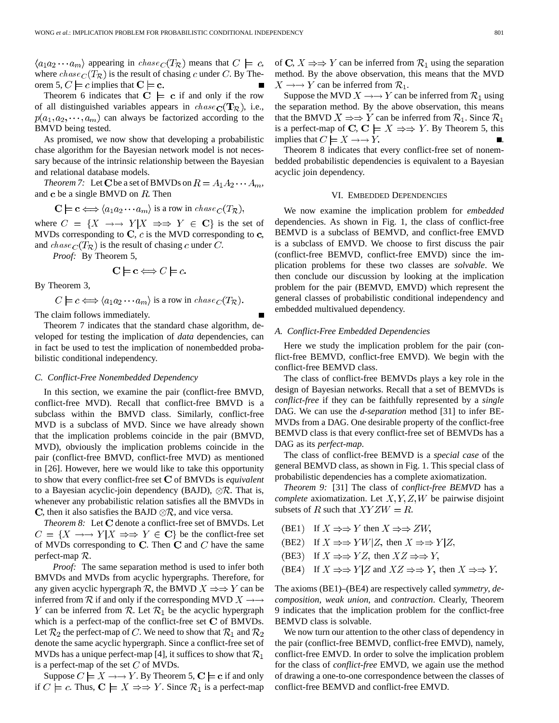$\langle a_1 a_2 \cdots a_m \rangle$  appearing in  $chase_C(T_{\mathcal{R}})$  means that  $C \models c$ , where  $chase_C(T_{\mathcal{R}})$  is the result of chasing c under C. By Theorem 5,  $C \models c$  implies that  $C \models c$ .

Theorem 6 indicates that  $C \models c$  if and only if the row of all distinguished variables appears in  $chase_{\mathbf{C}}(\mathbf{T}_{\mathcal{R}})$ , i.e.,  $p(a_1, a_2, \dots, a_m)$  can always be factorized according to the BMVD being tested.

As promised, we now show that developing a probabilistic chase algorithm for the Bayesian network model is not necessary because of the intrinsic relationship between the Bayesian and relational database models.

*Theorem 7:* Let **C** be a set of BMVDs on  $R = A_1 A_2 \cdots A_m$ , and  $\bf c$  be a single BMVD on  $R$ . Then

 $\mathbf{C} \models \mathbf{c} \Longleftrightarrow \langle a_1 a_2 \cdots a_m \rangle$  is a row in  $chase_C(T_{\mathcal{R}}),$ 

where  $C = \{X \rightarrow Y | X \Rightarrow Y \in \mathbf{C}\}\$ is the set of MVDs corresponding to C,  $c$  is the MVD corresponding to  $c$ , and chase  $c(T_{\mathcal{R}})$  is the result of chasing c under C.

*Proof:* By Theorem 5,

$$
\mathbf{C} \models \mathbf{c} \Longleftrightarrow C \models c.
$$

By Theorem 3,

$$
C \models c \iff \langle a_1 a_2 \cdots a_m \rangle
$$
 is a row in  $chase_C(T_{\mathcal{R}})$ .

The claim follows immediately.

Theorem 7 indicates that the standard chase algorithm, developed for testing the implication of *data* dependencies, can in fact be used to test the implication of nonembedded probabilistic conditional independency.

#### *C. Conflict-Free Nonembedded Dependency*

In this section, we examine the pair (conflict-free BMVD, conflict-free MVD). Recall that conflict-free BMVD is a subclass within the BMVD class. Similarly, conflict-free MVD is a subclass of MVD. Since we have already shown that the implication problems coincide in the pair (BMVD, MVD), obviously the implication problems coincide in the pair (conflict-free BMVD, conflict-free MVD) as mentioned in [26]. However, here we would like to take this opportunity to show that every conflict-free set C of BMVDs is *equivalent* to a Bayesian acyclic-join dependency (BAJD),  $\otimes \mathcal{R}$ . That is, whenever any probabilistic relation satisfies all the BMVDs in C, then it also satisfies the BAJD  $\otimes \mathcal{R}$ , and vice versa.

*Theorem 8:* Let C denote a conflict-free set of BMVDs. Let  $C = \{X \rightarrow Y | X \Rightarrow Y \in \mathbf{C}\}\$ be the conflict-free set of MVDs corresponding to C. Then C and  $C$  have the same perfect-map  $\mathcal{R}$ .

*Proof:* The same separation method is used to infer both BMVDs and MVDs from acyclic hypergraphs. Therefore, for any given acyclic hypergraph  $R$ , the BMVD  $X \Rightarrow Y$  can be inferred from  $\mathcal R$  if and only if the corresponding MVD  $X \rightarrow \rightarrow$ Y can be inferred from R. Let  $\mathcal{R}_1$  be the acyclic hypergraph which is a perfect-map of the conflict-free set  $C$  of BMVDs. Let  $\mathcal{R}_2$  the perfect-map of C. We need to show that  $\mathcal{R}_1$  and  $\mathcal{R}_2$ denote the same acyclic hypergraph. Since a conflict-free set of MVDs has a unique perfect-map [4], it suffices to show that  $\mathcal{R}_1$ is a perfect-map of the set  $C$  of MVDs.

Suppose  $C \models X \rightarrow Y$ . By Theorem 5,  $C \models c$  if and only if  $C \models c$ . Thus,  $C \models X \Rightarrow Y$ . Since  $\mathcal{R}_1$  is a perfect-map of C,  $X \Rightarrow Y$  can be inferred from  $\mathcal{R}_1$  using the separation method. By the above observation, this means that the MVD  $X \longrightarrow Y$  can be inferred from  $\mathcal{R}_1$ .

Suppose the MVD  $X \rightarrow Y$  can be inferred from  $\mathcal{R}_1$  using the separation method. By the above observation, this means that the BMVD  $X \Rightarrow Y$  can be inferred from  $\mathcal{R}_1$ . Since  $\mathcal{R}_1$ is a perfect-map of C,  $C \models X \Rightarrow Y$ . By Theorem 5, this implies that  $C \models X \rightarrow Y$ .

Theorem 8 indicates that every conflict-free set of nonembedded probabilistic dependencies is equivalent to a Bayesian acyclic join dependency.

#### VI. EMBEDDED DEPENDENCIES

We now examine the implication problem for *embedded* dependencies. As shown in Fig. 1, the class of conflict-free BEMVD is a subclass of BEMVD, and conflict-free EMVD is a subclass of EMVD. We choose to first discuss the pair (conflict-free BEMVD, conflict-free EMVD) since the implication problems for these two classes are *solvable*. We then conclude our discussion by looking at the implication problem for the pair (BEMVD, EMVD) which represent the general classes of probabilistic conditional independency and embedded multivalued dependency.

#### *A. Conflict-Free Embedded Dependencies*

Here we study the implication problem for the pair (conflict-free BEMVD, conflict-free EMVD). We begin with the conflict-free BEMVD class.

The class of conflict-free BEMVDs plays a key role in the design of Bayesian networks. Recall that a set of BEMVDs is *conflict-free* if they can be faithfully represented by a *single* DAG. We can use the *d-separation* method [31] to infer BE-MVDs from a DAG. One desirable property of the conflict-free BEMVD class is that every conflict-free set of BEMVDs has a DAG as its *perfect-map*.

The class of conflict-free BEMVD is a *special case* of the general BEMVD class, as shown in Fig. 1. This special class of probabilistic dependencies has a complete axiomatization.

*Theorem 9:* [31] The class of *conflict-free BEMVD* has a *complete* axiomatization. Let  $X, Y, Z, W$  be pairwise disjoint subsets of R such that  $XYZW = R$ .

- (BE1) If  $X \Rightarrow Y$  then  $X \Rightarrow ZW$ ,
- (BE2) If  $X \Rightarrow YW|Z$ , then  $X \Rightarrow Y|Z$ ,
- (BE3) If  $X \Rightarrow YZ$ , then  $XZ \Rightarrow Y$ ,
- (BE4) If  $X \Rightarrow Y|Z$  and  $XZ \Rightarrow Y$ , then  $X \Rightarrow Y$ .

The axioms (BE1)–(BE4) are respectively called *symmetry*, *decomposition*, *weak union*, and *contraction*. Clearly, Theorem 9 indicates that the implication problem for the conflict-free BEMVD class is solvable.

We now turn our attention to the other class of dependency in the pair (conflict-free BEMVD, conflict-free EMVD), namely, conflict-free EMVD. In order to solve the implication problem for the class of *conflict-free* EMVD, we again use the method of drawing a one-to-one correspondence between the classes of conflict-free BEMVD and conflict-free EMVD.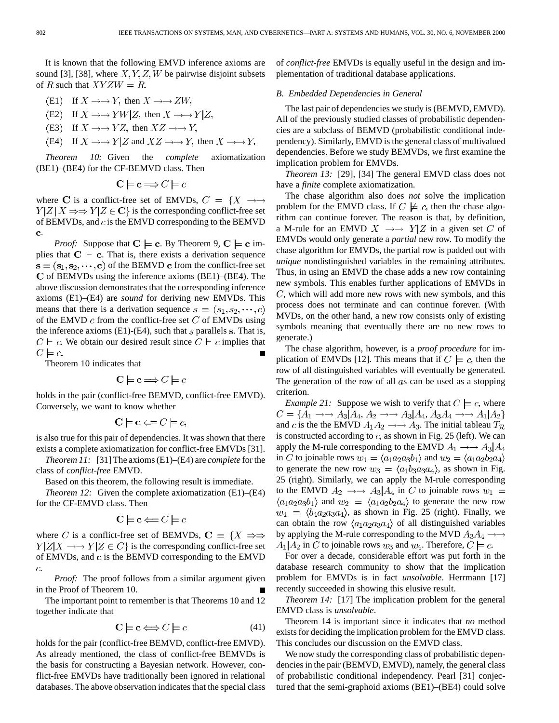It is known that the following EMVD inference axioms are sound [3], [38], where  $X, Y, Z, W$  be pairwise disjoint subsets of R such that  $XYZW = R$ .

- (E1) If  $X \rightarrow Y$ , then  $X \rightarrow ZW$ .
- (E2) If  $X \rightarrow YW|Z$ , then  $X \rightarrow Y|Z$ ,
- (E3) If  $X \rightarrow YZ$ , then  $XZ \rightarrow Y$ ,
- (E4) If  $X \to Y|Z$  and  $XZ \to Y$ , then  $X \to Y$ .

*Theorem 10:* Given the *complete* axiomatization (BE1)–(BE4) for the CF-BEMVD class. Then

$$
C \models c \Longrightarrow C \models c
$$

where C is a conflict-free set of EMVDs,  $C = \{X \rightarrow \rightarrow \}$  $Y|Z|X \Rightarrow Y|Z \in \mathbf{C}$  is the corresponding conflict-free set of BEMVDs, and  $c$  is the EMVD corresponding to the BEMVD c.

*Proof:* Suppose that  $C \models c$ . By Theorem 9,  $C \models c$  implies that  $C \vdash c$ . That is, there exists a derivation sequence  $s = (s_1, s_2, \dots, c)$  of the BEMVD c from the conflict-free set  $C$  of BEMVDs using the inference axioms (BE1)–(BE4). The above discussion demonstrates that the corresponding inference axioms (E1)–(E4) are *sound* for deriving new EMVDs. This means that there is a derivation sequence  $s = (s_1, s_2, \dots, c)$ of the EMVD  $c$  from the conflict-free set  $C$  of EMVDs using the inference axioms  $(E1)$ - $(E4)$ , such that s parallels s. That is,  $C \vdash c$ . We obtain our desired result since  $C \vdash c$  implies that  $C \models c$ 

Theorem 10 indicates that

$$
C \models c \Longrightarrow C \models c
$$

holds in the pair (conflict-free BEMVD, conflict-free EMVD). Conversely, we want to know whether

$$
\mathbf{C} \models \mathbf{c} \Longleftarrow C \models c,
$$

is also true for this pair of dependencies. It was shown that there exists a complete axiomatization for conflict-free EMVDs [31].

*Theorem 11:* [31] The axioms (E1)–(E4) are *complete* for the class of *conflict-free* EMVD.

Based on this theorem, the following result is immediate.

*Theorem 12:* Given the complete axiomatization (E1)–(E4) for the CF-EMVD class. Then

$$
\mathbf{C} \models \mathbf{c} \Longleftarrow C \models c
$$

where C is a conflict-free set of BEMVDs,  $C = \{X \Rightarrow \exists \}$  $Y|Z|X \longrightarrow Y|Z \in C$  is the corresponding conflict-free set of EMVDs, and  $\bf{c}$  is the BEMVD corresponding to the EMVD  $\overline{c}$ .

*Proof:* The proof follows from a similar argument given in the Proof of Theorem 10.

The important point to remember is that Theorems 10 and 12 together indicate that

$$
\mathbf{C} \models \mathbf{c} \Longleftrightarrow C \models c \tag{41}
$$

holds for the pair (conflict-free BEMVD, conflict-free EMVD). As already mentioned, the class of conflict-free BEMVDs is the basis for constructing a Bayesian network. However, conflict-free EMVDs have traditionally been ignored in relational databases. The above observation indicates that the special class of *conflict-free* EMVDs is equally useful in the design and implementation of traditional database applications.

#### *B. Embedded Dependencies in General*

The last pair of dependencies we study is (BEMVD, EMVD). All of the previously studied classes of probabilistic dependencies are a subclass of BEMVD (probabilistic conditional independency). Similarly, EMVD is the general class of multivalued dependencies. Before we study BEMVDs, we first examine the implication problem for EMVDs.

*Theorem 13:* [29], [34] The general EMVD class does not have a *finite* complete axiomatization.

The chase algorithm also does *not* solve the implication problem for the EMVD class. If  $C \not\models c$ , then the chase algorithm can continue forever. The reason is that, by definition, a M-rule for an EMVD  $X \rightarrow Y|Z$  in a given set C of EMVDs would only generate a *partial* new row. To modify the chase algorithm for EMVDs, the partial row is padded out with *unique* nondistinguished variables in the remaining attributes. Thus, in using an EMVD the chase adds a new row containing new symbols. This enables further applications of EMVDs in  $C$ , which will add more new rows with new symbols, and this process does not terminate and can continue forever. (With MVDs, on the other hand, a new row consists only of existing symbols meaning that eventually there are no new rows to generate.)

The chase algorithm, however, is a *proof procedure* for implication of EMVDs [12]. This means that if  $C \models c$ , then the row of all distinguished variables will eventually be generated. The generation of the row of all  $as$  can be used as a stopping criterion.

*Example 21:* Suppose we wish to verify that  $C \models c$ , where  $C = \{A_1 \rightarrow A_3 | A_4, A_2 \rightarrow A_3 | A_4, A_3 A_4 \rightarrow A_1 | A_2\}$ and c is the the EMVD  $A_1A_2 \rightarrow A_3$ . The initial tableau  $T_{\mathcal{R}}$ is constructed according to  $c$ , as shown in Fig. 25 (left). We can apply the M-rule corresponding to the EMVD  $A_1 \rightarrow A_3 | A_4$ in C to joinable rows  $w_1 = \langle a_1 a_2 a_3 b_1 \rangle$  and  $w_2 = \langle a_1 a_2 b_2 a_4 \rangle$ to generate the new row  $w_3 = \langle a_1 b_3 a_3 a_4 \rangle$ , as shown in Fig. 25 (right). Similarly, we can apply the M-rule corresponding to the EMVD  $A_2 \rightarrow A_3 | A_4$  in C to joinable rows  $w_1 =$  $\langle a_1 a_2 a_3 b_1 \rangle$  and  $w_2 = \langle a_1 a_2 b_2 a_4 \rangle$  to generate the new row  $w_4 = \langle b_4 a_2 a_3 a_4 \rangle$ , as shown in Fig. 25 (right). Finally, we can obtain the row  $\langle a_1 a_2 a_3 a_4 \rangle$  of all distinguished variables by applying the M-rule corresponding to the MVD  $A_3A_4 \rightarrow \rightarrow$  $A_1|A_2$  in C to joinable rows  $w_3$  and  $w_4$ . Therefore,  $C \models c$ .

For over a decade, considerable effort was put forth in the database research community to show that the implication problem for EMVDs is in fact *unsolvable*. Herrmann [17] recently succeeded in showing this elusive result.

*Theorem 14:* [17] The implication problem for the general EMVD class is *unsolvable*.

Theorem 14 is important since it indicates that *no* method exists for deciding the implication problem for the EMVD class. This concludes our discussion on the EMVD class.

We now study the corresponding class of probabilistic dependencies in the pair (BEMVD, EMVD), namely, the general class of probabilistic conditional independency. Pearl [31] conjectured that the semi-graphoid axioms (BE1)–(BE4) could solve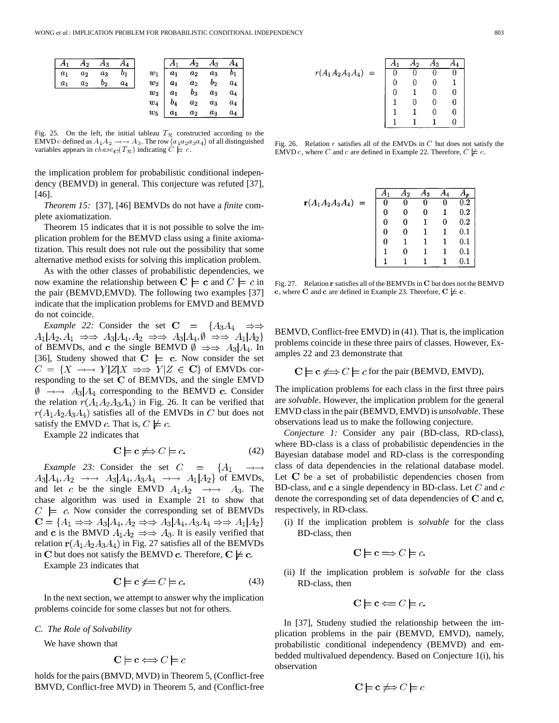|       |       |                   | $A_2 \quad A_3 \quad A_4$ |  | $\overline{A_2}$ $A_3$                                                                                                                                                                      | $A_4$ |
|-------|-------|-------------------|---------------------------|--|---------------------------------------------------------------------------------------------------------------------------------------------------------------------------------------------|-------|
| $a_1$ | $a_2$ | $a_3$             | $\sqrt{b_1}$              |  |                                                                                                                                                                                             |       |
| $a_1$ |       | $a_2$ $b_2$ $a_4$ |                           |  |                                                                                                                                                                                             |       |
|       |       |                   |                           |  |                                                                                                                                                                                             |       |
|       |       |                   |                           |  |                                                                                                                                                                                             |       |
|       |       |                   |                           |  | $\begin{array}{c cccc} w_1 & a_1 & a_2 & a_3 & b_1 \\ w_2 & a_1 & a_2 & b_2 & a_4 \\ w_3 & a_1 & b_3 & a_3 & a_4 \\ w_4 & b_4 & a_2 & a_3 & a_4 \\ w_5 & a_1 & a_2 & a_3 & a_4 \end{array}$ |       |

Fig. 25. On the left, the initial tableau  $T_R$  constructed according to the EMVD c defined as  $A_1 A_2 \rightarrow A_3$ . The row  $\langle a_1 a_2 a_3 a_4 \rangle$  of all distinguished variables appears in  $chase_{\mathbf{C}}(T_{\mathcal{R}})$  indicating  $\dot{C} \models c$ .

the implication problem for probabilistic conditional independency (BEMVD) in general. This conjecture was refuted [37], [46].

*Theorem 15:* [37], [46] BEMVDs do not have a *finite* complete axiomatization.

Theorem 15 indicates that it is not possible to solve the implication problem for the BEMVD class using a finite axiomatization. This result does not rule out the possibility that some alternative method exists for solving this implication problem.

As with the other classes of probabilistic dependencies, we now examine the relationship between  $C \models c$  and  $C \models c$  in the pair (BEMVD,EMVD). The following two examples [37] indicate that the implication problems for EMVD and BEMVD do not coincide.

*Example 22:* Consider the set  $C = \{A_3A_4 \Rightarrow \Rightarrow A_4A_5 \Rightarrow A_5A_6A_7\}$  $A_1|A_2,A_1 \Rightarrow A_3|A_4,A_2 \Rightarrow A_3|A_4,\emptyset \Rightarrow A_1|A_2\}$ of BEMVDs, and c the single BEMVD  $\emptyset \Rightarrow A_3 | A_4$ . In [36], Studeny showed that  $C \models c$ . Now consider the set  $C = \{X \rightarrow Y | Z | X \Rightarrow Y | Z \in \mathbf{C}\}\$  of EMVDs corresponding to the set  $C$  of BEMVDs, and the single EMVD  $\emptyset \rightarrow \rightarrow A_3 | A_4$  corresponding to the BEMVD c. Consider the relation  $r(A_1A_2A_3A_4)$  in Fig. 26. It can be verified that  $r(A_1A_2A_3A_4)$  satisfies all of the EMVDs in C but does not satisfy the EMVD c. That is,  $C \not\models c$ .

Example 22 indicates that

$$
\mathbf{C} \models \mathbf{c} \not\Longrightarrow C \models c. \tag{42}
$$

*Example 23:* Consider the set  $C = \{A_1$  $A_3|A_4, A_2 \rightarrow A_3|A_4, A_3A_4 \rightarrow A_1|A_2$  of EMVDs, and let c be the single EMVD  $A_1A_2 \rightarrow A_3$ . The chase algorithm was used in Example 21 to show that  $C \models c$ . Now consider the corresponding set of BEMVDs  $\mathbf{C} = \{A_1 \Rightarrow A_3 | A_4, A_2 \Rightarrow A_3 | A_4, A_3 A_4 \Rightarrow A_1 | A_2\}$ and c is the BMVD  $A_1A_2 \Rightarrow A_3$ . It is easily verified that relation  $r(A_1A_2A_3A_4)$  in Fig. 27 satisfies all of the BEMVDs in C but does not satisfy the BEMVD c. Therefore,  $C \not\models c$ .

Example 23 indicates that

$$
\mathbf{C} \models \mathbf{c} \not\Leftarrow C \models c. \tag{43}
$$

In the next section, we attempt to answer why the implication problems coincide for some classes but not for others.

#### *C. The Role of Solvability*

We have shown that

$$
C \models c \Longleftrightarrow C \models c
$$

holds for the pairs (BMVD, MVD) in Theorem 5, (Conflict-free BMVD, Conflict-free MVD) in Theorem 5, and (Conflict-free

|                       | L9 | 13 |  |
|-----------------------|----|----|--|
| $(A_1A_2A_3A_4)$<br>Ξ |    |    |  |
|                       |    |    |  |
|                       |    |    |  |
|                       |    |    |  |
|                       |    |    |  |
|                       |    |    |  |

 $\pmb{r}$ 

Fig. 26. Relation  $r$  satisfies all of the EMVDs in  $C$  but does not satisfy the EMVD c, where C and c are defined in Example 22. Therefore,  $C \not\models c$ .

|                                |   | Ą۵ | А3 |   |              |
|--------------------------------|---|----|----|---|--------------|
| ${\bf r}(A_1A_2A_3A_4)$<br>$=$ | U |    | U  | U | $\rm 0.2$    |
|                                |   |    | 0  |   | $_{\rm 0.2}$ |
|                                | U |    |    |   | 0.2          |
|                                | 0 |    |    |   | $_{0.1}$     |
|                                | O |    |    |   | $0.1\,$      |
|                                |   |    |    |   | $0.1\,$      |
|                                |   |    |    |   |              |

Fig. 27. Relation r satisfies all of the BEMVDs in C but does not the BEMVD c, where C and c are defined in Example 23. Therefore,  $C \not\models c$ .

BEMVD, Conflict-free EMVD) in (41). That is, the implication problems coincide in these three pairs of classes. However, Examples 22 and 23 demonstrate that

$$
C \models c \Leftrightarrow C \models c \text{ for the pair (BEMVD, EMVD).}
$$

The implication problems for each class in the first three pairs are *solvable*. However, the implication problem for the general EMVD class in the pair (BEMVD, EMVD) is *unsolvable*. These observations lead us to make the following conjecture.

*Conjecture 1:* Consider any pair (BD-class, RD-class), where BD-class is a class of probabilistic dependencies in the Bayesian database model and RD-class is the corresponding class of data dependencies in the relational database model. Let  $C$  be a set of probabilistic dependencies chosen from BD-class, and c a single dependency in BD-class. Let  $C$  and  $c$ denote the corresponding set of data dependencies of  $C$  and  $C$ , respectively, in RD-class.

(i) If the implication problem is *solvable* for the class BD-class, then

$$
C \models c \Longrightarrow C \models c.
$$

(ii) If the implication problem is *solvable* for the class RD-class, then

$$
\mathbf{C} \models \mathbf{c} \Longleftarrow C \models c.
$$

In [37], Studeny studied the relationship between the implication problems in the pair (BEMVD, EMVD), namely, probabilistic conditional independency (BEMVD) and embedded multivalued dependency. Based on Conjecture 1(i), his observation

$$
\mathbf{C}\models \mathbf{c}\not\Longrightarrow C\models c
$$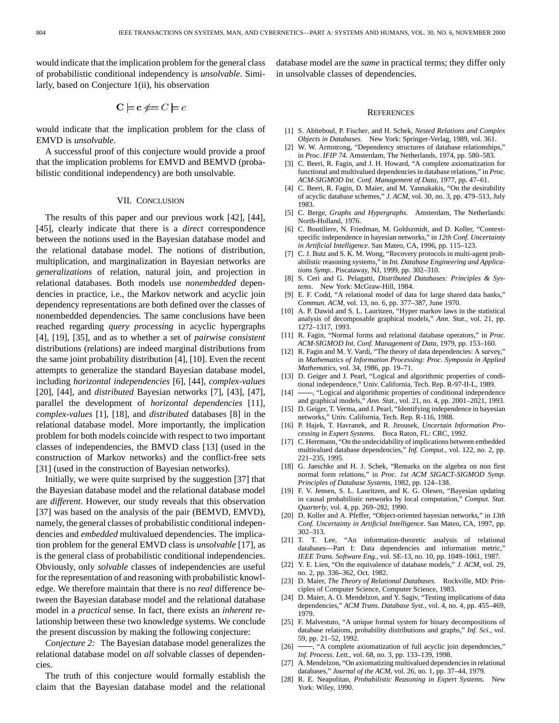would indicate that the implication problem for the general class of probabilistic conditional independency is *unsolvable*. Similarly, based on Conjecture 1(ii), his observation

$$
\mathbf{C} \models \mathbf{c} \not\models \mathbf{C} \models \mathbf{c}
$$

would indicate that the implication problem for the class of EMVD is *unsolvable*.

A successful proof of this conjecture would provide a proof that the implication problems for EMVD and BEMVD (probabilistic conditional independency) are both unsolvable.

## VII. CONCLUSION

The results of this paper and our previous work [42], [44], [45], clearly indicate that there is a *direct* correspondence between the notions used in the Bayesian database model and the relational database model. The notions of distribution, multiplication, and marginalization in Bayesian networks are *generalizations* of relation, natural join, and projection in relational databases. Both models use *nonembedded* dependencies in practice, i.e., the Markov network and acyclic join dependency representations are both defined over the classes of nonembedded dependencies. The same conclusions have been reached regarding *query processing* in acyclic hypergraphs [4], [19], [35], and as to whether a set of *pairwise consistent* distributions (relations) are indeed marginal distributions from the same joint probability distribution [4], [10]. Even the recent attempts to generalize the standard Bayesian database model, including *horizontal independencies* [6], [44], *complex-values* [20], [44], and *distributed* Bayesian networks [7], [43], [47], parallel the development of *horizontal dependencies* [11], *complex-values* [1], [18], and *distributed* databases [8] in the relational database model. More importantly, the implication problem for both models coincide with respect to two important classes of independencies, the BMVD class [13] (used in the construction of Markov networks) and the conflict-free sets [31] (used in the construction of Bayesian networks).

Initially, we were quite surprised by the suggestion [37] that the Bayesian database model and the relational database model are *different*. However, our study reveals that this observation [37] was based on the analysis of the pair (BEMVD, EMVD), namely, the general classes of probabilistic conditional independencies and *embedded* multivalued dependencies. The implication problem for the general EMVD class is *unsolvable* [17], as is the general class of probabilistic conditional independencies. Obviously, only *solvable* classes of independencies are useful for the representation of and reasoning with probabilistic knowledge. We therefore maintain that there is no *real* difference between the Bayesian database model and the relational database model in a *practical* sense. In fact, there exists an *inherent* relationship between these two knowledge systems. We conclude the present discussion by making the following conjecture:

*Conjecture 2:* The Bayesian database model generalizes the relational database model on *all* solvable classes of dependencies.

The truth of this conjecture would formally establish the claim that the Bayesian database model and the relational database model are the *same* in practical terms; they differ only in unsolvable classes of dependencies.

#### **REFERENCES**

- [1] S. Abiteboul, P. Fischer, and H. Schek, *Nested Relations and Complex Objects in Databases*. New York: Springer-Verlag, 1989, vol. 361.
- [2] W. W. Armstrong, "Dependency structures of database relationships," in *Proc. IFIP 74*. Amsterdam, The Netherlands, 1974, pp. 580–583.
- [3] C. Beeri, R. Fagin, and J. H. Howard, "A complete axiomatization for functional and multivalued dependencies in database relations," in *Proc. ACM-SIGMOD Int. Conf. Management of Data*, 1977, pp. 47–61.
- [4] C. Beeri, R. Fagin, D. Maier, and M. Yannakakis, "On the desirability of acyclic database schemes," *J. ACM*, vol. 30, no. 3, pp. 479–513, July 1983.
- [5] C. Berge, *Graphs and Hypergraphs*. Amsterdam, The Netherlands: North-Holland, 1976.
- [6] C. Boutiliere, N. Friedman, M. Goldszmidt, and D. Koller, "Contextspecific independence in bayesian networks," in *12th Conf. Uncertainty in Artificial Intelligence*. San Mateo, CA, 1996, pp. 115–123.
- [7] C. J. Butz and S. K. M. Wong, "Recovery protocols in multi-agent probabilistic reasoning systems," in *Int. Database Engineering and Applications Symp.*. Piscataway, NJ, 1999, pp. 302–310.
- [8] S. Ceri and G. Pelagatti, *Distributed Databases: Principles & Systems*. New York: McGraw-Hill, 1984.
- [9] E. F. Codd, "A relational model of data for large shared data banks," *Commun. ACM*, vol. 13, no. 6, pp. 377–387, June 1970.
- [10] A. P. Dawid and S. L. Lauritzen, "Hyper markov laws in the statistical analysis of decomposable graphical models," *Ann. Stat.*, vol. 21, pp. 1272–1317, 1993.
- [11] R. Fagin, "Normal forms and relational database operators," in *Proc. ACM-SIGMOD Int. Conf. Management of Data*, 1979, pp. 153–160.
- [12] R. Fagin and M. Y. Vardi, "The theory of data dependencies: A survey," in *Mathematics of Information Processing: Proc. Symposia in Applied Mathematics*, vol. 34, 1986, pp. 19–71.
- [13] D. Geiger and J. Pearl, "Logical and algorithmic properties of conditional independence," Univ. California, Tech. Rep. R-97-II-L, 1989.
- -, "Logical and algorithmic properties of conditional independence and graphical models," *Ann. Stat.*, vol. 21, no. 4, pp. 2001–2021, 1993.
- [15] D. Geiger, T. Verma, and J. Pearl, "Identifying independence in bayesian networks," Univ. California, Tech. Rep. R-116, 1988.
- [16] P. Hajek, T. Havranek, and R. Jirousek, *Uncertain Information Processing in Expert Systems*. Boca Raton, FL: CRC, 1992.
- [17] C. Herrmann, "On the undecidability of implications between embedded multivalued database dependencies," *Inf. Comput.*, vol. 122, no. 2, pp. 221–235, 1995.
- [18] G. Jaeschke and H. J. Schek, "Remarks on the algebra on non first normal form relations," in *Proc. 1st ACM SIGACT-SIGMOD Symp. Principles of Database Systems*, 1982, pp. 124–138.
- [19] F. V. Jensen, S. L. Lauritzen, and K. G. Olesen, "Bayesian updating in causal probabilistic networks by local computation," *Comput. Stat. Quarterly*, vol. 4, pp. 269–282, 1990.
- [20] D. Koller and A. Pfeffer, "Object-oriented bayesian networks," in *13th Conf. Uncertainty in Artificial Intelligence*. San Mateo, CA, 1997, pp. 302–313.
- [21] T. T. Lee, "An information-theoretic analysis of relational databases—Part I: Data dependencies and information metric," *IEEE Trans. Software Eng.*, vol. SE-13, no. 10, pp. 1049–1061, 1987.
- [22] Y. E. Lien, "On the equivalence of database models," *J. ACM*, vol. 29, no. 2, pp. 336–362, Oct. 1982.
- [23] D. Maier, *The Theory of Relational Databases*. Rockville, MD: Principles of Computer Science, Computer Science, 1983.
- [24] D. Maier, A. O. Mendelzon, and Y. Sagiv, "Testing implications of data dependencies," *ACM Trans. Database Syst.*, vol. 4, no. 4, pp. 455–469, 1979.
- [25] F. Malvestuto, "A unique formal system for binary decompositions of database relations, probability distributions and graphs," *Inf. Sci.*, vol. 59, pp. 21–52, 1992.
- [26]  $\rightarrow$  "A complete axiomatization of full acyclic join dependencies," *Inf. Process. Lett.*, vol. 68, no. 3, pp. 133–139, 1998.
- [27] A. Mendelzon, "On axiomatizing multivalued dependencies in relational databases," *Journal of the ACM*, vol. 26, no. 1, pp. 37–44, 1979.
- [28] R. E. Neapolitan, *Probabilistic Reasoning in Expert Systems*. New York: Wiley, 1990.